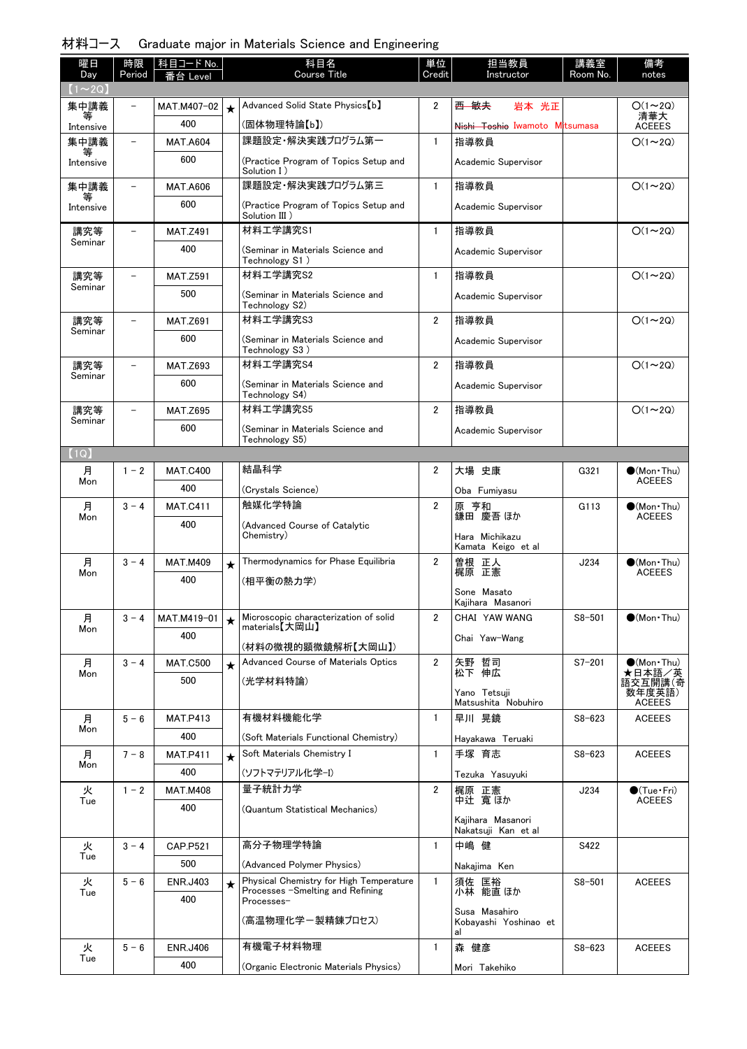| 材料コース Graduate major in Materials Science and Engineering |  |  |  |  |  |
|-----------------------------------------------------------|--|--|--|--|--|
|-----------------------------------------------------------|--|--|--|--|--|

| 曜日<br>Day      | 時限<br>Period | │科目コード No.<br>番台 Level |         | 科目名<br><b>Course Title</b>                              | 単位<br>Credit   | 担当教員<br>Instructor                       | 講義室<br>Room No. | 備考<br>notes                            |
|----------------|--------------|------------------------|---------|---------------------------------------------------------|----------------|------------------------------------------|-----------------|----------------------------------------|
| $(1\sim 2Q)$   |              |                        |         |                                                         |                |                                          |                 |                                        |
| 集中講義           |              | MAT.M407-02            | $\star$ | Advanced Solid State Physics [b]                        | $\overline{2}$ | 西 敏夫<br>岩本 光正                            |                 | $O(1\sim 2Q)$                          |
| 等<br>Intensive |              | 400                    |         | (固体物理特論【b】)                                             |                | Nishi Toshio Iwamoto Mitsumasa           |                 | 清華大<br><b>ACEEES</b>                   |
| 集中講義           |              | <b>MAT.A604</b>        |         | 課題設定・解決実践プログラム第一                                        | $\mathbf{1}$   | 指導教員                                     |                 | $O(1\sim 2Q)$                          |
| Intensive      |              | 600                    |         | (Practice Program of Topics Setup and<br>Solution I)    |                | Academic Supervisor                      |                 |                                        |
| 集中講義           |              | <b>MAT.A606</b>        |         | 課題設定・解決実践プログラム第三                                        | $\mathbf{1}$   | 指導教員                                     |                 | $O(1\sim 2Q)$                          |
| Intensive      |              | 600                    |         | (Practice Program of Topics Setup and<br>Solution III)  |                | Academic Supervisor                      |                 |                                        |
| 講究等            |              | <b>MAT.Z491</b>        |         | 材料工学講究S1                                                | $\mathbf{1}$   | 指導教員                                     |                 | $O(1\sim 2Q)$                          |
| Seminar        |              | 400                    |         | (Seminar in Materials Science and<br>Technology S1)     |                | Academic Supervisor                      |                 |                                        |
| 講究等            |              | <b>MAT.Z591</b>        |         | 材料工学講究S2                                                | $\mathbf{1}$   | 指導教員                                     |                 | $O(1\sim 2Q)$                          |
| Seminar        |              | 500                    |         | (Seminar in Materials Science and<br>Technology S2)     |                | Academic Supervisor                      |                 |                                        |
| 講究等<br>Seminar |              | <b>MAT.Z691</b>        |         | 材料工学講究S3                                                | $\overline{2}$ | 指導教員                                     |                 | $O(1\sim 2Q)$                          |
|                |              | 600                    |         | (Seminar in Materials Science and<br>Technology S3)     |                | Academic Supervisor                      |                 |                                        |
| 講究等            |              | <b>MAT.Z693</b>        |         | 材料工学講究S4                                                | $\overline{2}$ | 指導教員                                     |                 | $O(1\sim 2Q)$                          |
| Seminar        |              | 600                    |         | (Seminar in Materials Science and<br>Technology S4)     |                | Academic Supervisor                      |                 |                                        |
| 講究等            |              | <b>MAT.Z695</b>        |         | 材料工学講究S5                                                | $\overline{2}$ | 指導教員                                     |                 | $O(1\sim 2Q)$                          |
| Seminar        |              | 600                    |         | (Seminar in Materials Science and                       |                | Academic Supervisor                      |                 |                                        |
| (1Q)           |              |                        |         | Technology S5)                                          |                |                                          |                 |                                        |
| 月              | $1 - 2$      | <b>MAT.C400</b>        |         | 結晶科学                                                    | 2              | 大場 史康                                    | G321            | $\bullet$ (Mon Thu)                    |
| Mon            |              | 400                    |         | (Crystals Science)                                      |                | Oba Fumiyasu                             |                 | <b>ACEEES</b>                          |
| 月              | $3 - 4$      | <b>MAT.C411</b>        |         | 触媒化学特論                                                  | $\overline{2}$ | 原 亨和                                     | G113            | $\bigcirc$ (Mon Thu)                   |
| Mon            |              | 400                    |         | (Advanced Course of Catalytic<br>Chemistry)             |                | 鎌田 慶吾 ほか<br>Hara Michikazu               |                 | <b>ACEEES</b>                          |
| 月              | $3 - 4$      | <b>MAT.M409</b>        | $\star$ | Thermodynamics for Phase Equilibria                     | $\overline{2}$ | Kamata Keigo et al                       | J234            | $(Mon\cdot Thu)$                       |
| Mon            |              | 400                    |         | (相平衡の熱力学)                                               |                | 曽根 正人<br>梶原 正憲                           |                 | <b>ACEEES</b>                          |
|                |              |                        |         |                                                         |                | Sone Masato<br>Kaiihara Masanori         |                 |                                        |
| 月              | $3 - 4$      | MAT.M419-01            | $\star$ | Microscopic characterization of solid<br>materials【大岡山】 | 2              | CHAI YAW WANG                            | $S8 - 501$      | $\bullet$ (Mon Thu)                    |
| Mon            |              | 400                    |         | (材料の微視的顕微鏡解析【大岡山】)                                      |                | Chai Yaw-Wang                            |                 |                                        |
| 月              | $3 - 4$      | <b>MAT.C500</b>        | $\star$ | Advanced Course of Materials Optics                     | $\overline{2}$ |                                          | $S7 - 201$      | $\bullet$ (Mon Thu)                    |
| Mon            |              | 500                    |         | (光学材料特論)                                                |                | 矢野 哲司<br>松下 伸広                           |                 | ★日本語/英<br>語交互開講(奇                      |
|                |              |                        |         |                                                         |                | Yano Tetsuji<br>Matsushita Nobuhiro      |                 | 数年度英語)<br><b>ACEEES</b>                |
| 月<br>Mon       | $5 - 6$      | <b>MAT.P413</b>        |         | 有機材料機能化学                                                | 1              | 早川 晃鏡                                    | $S8 - 623$      | <b>ACEEES</b>                          |
|                |              | 400                    |         | (Soft Materials Functional Chemistry)                   |                | Hayakawa Teruaki                         |                 |                                        |
| 月<br>Mon       | $7 - 8$      | <b>MAT.P411</b>        | $\star$ | Soft Materials Chemistry I                              | $\mathbf{1}$   | 手塚 育志                                    | $S8 - 623$      | <b>ACEEES</b>                          |
|                |              | 400                    |         | (ソフトマテリアル化学-I)                                          |                | Tezuka Yasuyuki                          |                 |                                        |
| 火<br>Tue       | $1 - 2$      | <b>MAT.M408</b>        |         | 量子統計力学                                                  | $\overline{2}$ | 梶原 正憲<br>中辻 寛ほか                          | J234            | $\bullet$ (Tue · Fri)<br><b>ACEEES</b> |
|                |              | 400                    |         | (Quantum Statistical Mechanics)                         |                | Kajihara Masanori<br>Nakatsuji Kan et al |                 |                                        |
| 火              | $3 - 4$      | <b>CAP.P521</b>        |         | 高分子物理学特論                                                | $\mathbf{1}$   | 中嶋 健                                     | S422            |                                        |
| Tue            |              | 500                    |         | (Advanced Polymer Physics)                              |                | Nakajima Ken                             |                 |                                        |
| 火              | $5 - 6$      | <b>ENR.J403</b>        | ★       | Physical Chemistry for High Temperature                 | $\mathbf{1}$   | 須佐 匡裕                                    | $S8 - 501$      | <b>ACEEES</b>                          |
| Tue            |              | 400                    |         | Processes -Smelting and Refining<br>Processes-          |                | 小林 能直 ほか<br>Susa Masahiro                |                 |                                        |
|                |              |                        |         | (高温物理化学ー製精錬プロセス)                                        |                | Kobayashi Yoshinao et<br>al              |                 |                                        |
| 火<br>Tue       | $5 - 6$      | <b>ENR.J406</b>        |         | 有機電子材料物理                                                | $\mathbf{1}$   | 森 健彦                                     | $S8 - 623$      | <b>ACEEES</b>                          |
|                |              | 400                    |         | (Organic Electronic Materials Physics)                  |                | Mori Takehiko                            |                 |                                        |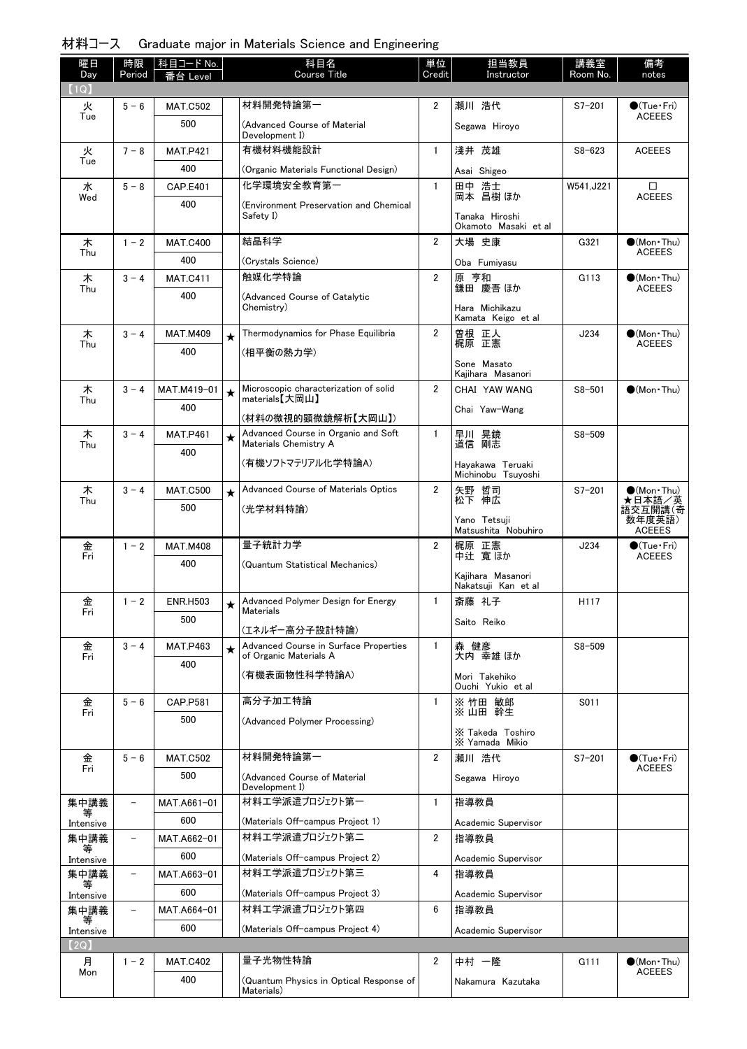|  |  | 材料コース Graduate major in Materials Science and Engineering |
|--|--|-----------------------------------------------------------|
|  |  |                                                           |

| 曜日          | 時限                       | 科目コード No.       |         | 科目名                                                          | 単位             | 担当教員                                 | 講義室        | 備考                                   |
|-------------|--------------------------|-----------------|---------|--------------------------------------------------------------|----------------|--------------------------------------|------------|--------------------------------------|
| Day<br>(1Q) | Period                   | _eve            |         | Course Title                                                 | Credit         | Instructor                           | Room No.   | notes                                |
| 火           | $5 - 6$                  | <b>MAT.C502</b> |         | 材料開発特論第一                                                     | $\overline{2}$ | 瀬川 浩代                                | $S7 - 201$ | $\bullet$ (Tue•Fri)                  |
| Tue         |                          | 500             |         | (Advanced Course of Material                                 |                | Segawa Hiroyo                        |            | <b>ACEEES</b>                        |
|             |                          |                 |         | Development I)                                               |                |                                      |            |                                      |
| 火<br>Tue    | $7 - 8$                  | <b>MAT.P421</b> |         | 有機材料機能設計                                                     | $\mathbf{1}$   | 淺井 茂雄                                | $S8 - 623$ | <b>ACEEES</b>                        |
|             |                          | 400             |         | (Organic Materials Functional Design)                        |                | Asai Shigeo                          |            |                                      |
| 水<br>Wed    | $5 - 8$                  | <b>CAP.E401</b> |         | 化学環境安全教育第一                                                   | $\mathbf{1}$   | 田中 浩士<br>岡本 昌樹 ほか                    | W541, J221 | □<br><b>ACEEES</b>                   |
|             |                          | 400             |         | (Environment Preservation and Chemical<br>Safety I)          |                | Tanaka Hiroshi                       |            |                                      |
|             |                          |                 |         |                                                              |                | Okamoto Masaki et al                 |            |                                      |
| 木<br>Thu    | $1 - 2$                  | <b>MAT.C400</b> |         | 結晶科学                                                         | $\overline{2}$ | 大場 史康                                | G321       | $\bullet$ (Mon Thu)<br><b>ACEEES</b> |
|             |                          | 400             |         | (Crystals Science)                                           |                | Oba Fumiyasu                         |            |                                      |
| 木<br>Thu    | $3 - 4$                  | <b>MAT.C411</b> |         | 触媒化学特論                                                       | $\overline{2}$ | 原 亨和<br>鎌田 慶吾 ほか                     | G113       | $\bullet$ (Mon Thu)<br><b>ACEEES</b> |
|             |                          | 400             |         | (Advanced Course of Catalytic                                |                |                                      |            |                                      |
|             |                          |                 |         | Chemistry)                                                   |                | Hara Michikazu<br>Kamata Keigo et al |            |                                      |
| 木           | $3 - 4$                  | <b>MAT.M409</b> | $\star$ | Thermodynamics for Phase Equilibria                          | $\overline{2}$ | 曽根 正人<br>梶原 正憲                       | J234       | (Mon Thu)                            |
| Thu         |                          | 400             |         | (相平衡の熱力学)                                                    |                |                                      |            | <b>ACEEES</b>                        |
|             |                          |                 |         |                                                              |                | Sone Masato<br>Kaiihara Masanori     |            |                                      |
| 木           | $3 - 4$                  | MAT.M419-01     | $\star$ | Microscopic characterization of solid                        | $\overline{2}$ | CHAI YAW WANG                        | $S8 - 501$ | $\bullet$ (Mon $\cdot$ Thu)          |
| Thu         |                          | 400             |         | materials【大岡山】                                               |                | Chai Yaw-Wang                        |            |                                      |
|             |                          |                 |         | (材料の微視的顕微鏡解析【大岡山】)                                           |                |                                      |            |                                      |
| 木<br>Thu    | $3 - 4$                  | <b>MAT.P461</b> | $\star$ | Advanced Course in Organic and Soft<br>Materials Chemistry A | $\mathbf{1}$   | 早川 晃鏡<br>道信 剛志                       | $S8 - 509$ |                                      |
|             |                          | 400             |         | (有機ソフトマテリアル化学特論A)                                            |                | Hayakawa Teruaki                     |            |                                      |
|             |                          |                 |         |                                                              |                | Michinobu Tsuyoshi                   |            |                                      |
| 木<br>Thu    | $3 - 4$                  | <b>MAT.C500</b> | $\star$ | Advanced Course of Materials Optics                          | $\overline{2}$ | 矢野 哲司<br>松下 伸広                       | $S7 - 201$ | $\bullet$ (Mon Thu)                  |
|             |                          | 500             |         | (光学材料特論)                                                     |                | Yano Tetsuji                         |            | ★日本語/英<br>語交互開講(奇<br>数年度英語)          |
|             |                          |                 |         |                                                              |                | Matsushita Nobuhiro                  |            | <b>ACEEES</b>                        |
| 金<br>Fri    | $1 - 2$                  | <b>MAT.M408</b> |         | 量子統計力学                                                       | $\overline{2}$ | 梶原 正憲<br>中辻 寬ほか                      | J234       | $\bullet$ (Tue•Fri)<br><b>ACEEES</b> |
|             |                          | 400             |         | (Quantum Statistical Mechanics)                              |                | Kajihara Masanori                    |            |                                      |
|             |                          |                 |         |                                                              |                | Nakatsuji Kan et al                  |            |                                      |
| 金<br>Fri    | $1 - 2$                  | <b>ENR.H503</b> | $\star$ | Advanced Polymer Design for Energy<br>Materials              | $\mathbf{1}$   | 斎藤 礼子                                | H117       |                                      |
|             |                          | 500             |         | (エネルギー高分子設計特論)                                               |                | Saito Reiko                          |            |                                      |
| 金           | $3 - 4$                  | <b>MAT.P463</b> | $\star$ | Advanced Course in Surface Properties                        | 1              | 森 健彦                                 | $S8 - 509$ |                                      |
| Fri         |                          | 400             |         | of Organic Materials A                                       |                | 大内 幸雄 ほか                             |            |                                      |
|             |                          |                 |         | (有機表面物性科学特論A)                                                |                | Mori Takehiko<br>Ouchi Yukio et al   |            |                                      |
| 金           | $5 - 6$                  | CAP.P581        |         | 高分子加工特論                                                      | $\mathbf{1}$   | ※ 竹田 敏郎                              | S011       |                                      |
| Fri         |                          | 500             |         | (Advanced Polymer Processing)                                |                | ※山田 幹生                               |            |                                      |
|             |                          |                 |         |                                                              |                | X Takeda Toshiro<br>X Yamada Mikio   |            |                                      |
| 金           | $5 - 6$                  | <b>MAT.C502</b> |         | 材料開発特論第一                                                     | $\overline{2}$ | 瀬川 浩代                                | $S7 - 201$ | $\bullet$ (Tue•Fri)                  |
| Fri         |                          | 500             |         | (Advanced Course of Material                                 |                | Segawa Hiroyo                        |            | <b>ACEEES</b>                        |
|             |                          |                 |         | Development I)                                               |                |                                      |            |                                      |
| 集中講義<br>等   |                          | MAT.A661-01     |         | 材料エ学派遣プロジェクト第一                                               | $\mathbf{1}$   | 指導教員                                 |            |                                      |
| Intensive   |                          | 600             |         | (Materials Off-campus Project 1)                             |                | Academic Supervisor                  |            |                                      |
| 集中講義        | $\overline{\phantom{0}}$ | MAT.A662-01     |         | 材料エ学派遣プロジェクト第二                                               | $\overline{2}$ | 指導教員                                 |            |                                      |
| Intensive   |                          | 600             |         | (Materials Off-campus Project 2)                             |                | Academic Supervisor                  |            |                                      |
| 集中講義<br>等   | $\qquad \qquad -$        | MAT.A663-01     |         | 材料エ学派遣プロジェクト第三                                               | 4              | 指導教員                                 |            |                                      |
| Intensive   |                          | 600             |         | (Materials Off-campus Project 3)                             |                | Academic Supervisor                  |            |                                      |
| 集中講義        | -                        | MAT.A664-01     |         | 材料工学派遣プロジェクト第四                                               | 6              | 指導教員                                 |            |                                      |
| Intensive   |                          | 600             |         | (Materials Off-campus Project 4)                             |                | Academic Supervisor                  |            |                                      |
| (2Q)        |                          |                 |         |                                                              |                |                                      |            |                                      |
| 月<br>Mon    | $1 - 2$                  | <b>MAT.C402</b> |         | 量子光物性特論                                                      | 2              | 中村 一隆                                | G111       | $\bullet$ (Mon Thu)<br><b>ACEEES</b> |
|             |                          | 400             |         | (Quantum Physics in Optical Response of<br>Materials)        |                | Nakamura Kazutaka                    |            |                                      |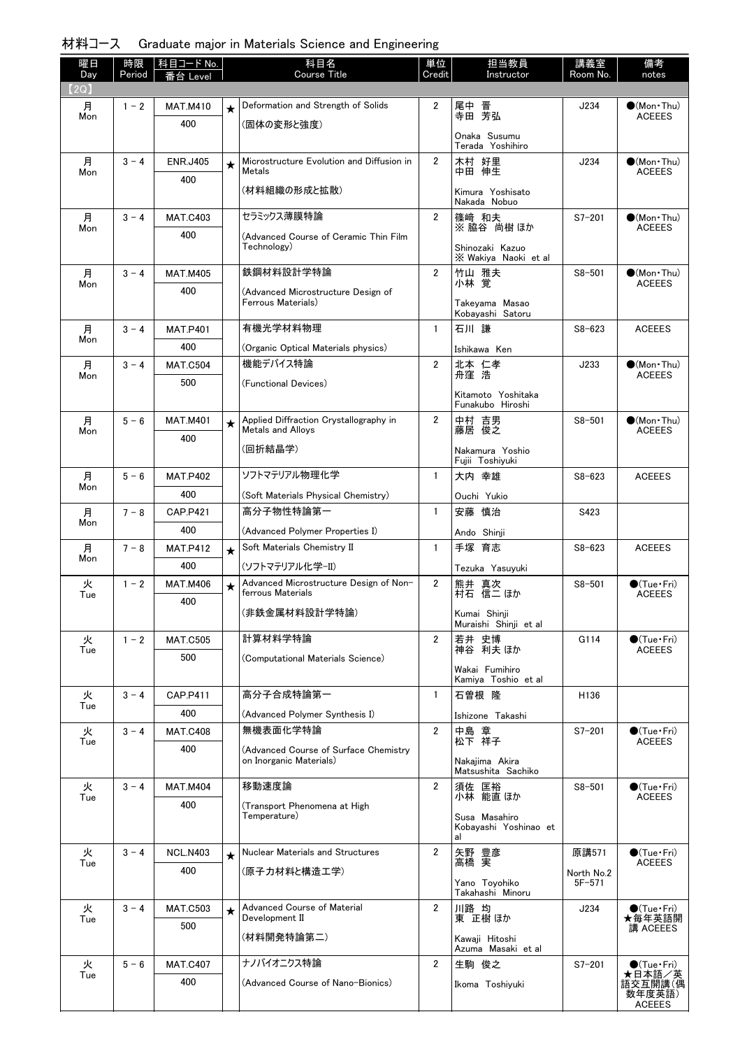| 材料コース Graduate major in Materials Science and Engineering |
|-----------------------------------------------------------|
|-----------------------------------------------------------|

| 曜日<br>Day | 時限<br>Period | │科目コード No.<br>番台 Level |         | 科目名<br><b>Course Title</b>                                         | 単位<br>Credit   | 担当教員<br>Instructor                                    | 講義室<br>Room No.          | 備考<br>notes                            |
|-----------|--------------|------------------------|---------|--------------------------------------------------------------------|----------------|-------------------------------------------------------|--------------------------|----------------------------------------|
| (2Q)      |              |                        |         |                                                                    |                |                                                       |                          |                                        |
| 月<br>Mon  | $1 - 2$      | <b>MAT.M410</b><br>400 | $\star$ | Deformation and Strength of Solids<br>(固体の変形と強度)                   | $\overline{2}$ | 尾中<br>晋<br>寺田 芳弘                                      | J234                     | $\bullet$ (Mon · Thu)<br><b>ACEEES</b> |
|           |              |                        |         |                                                                    |                | Onaka Susumu<br>Terada Yoshihiro                      |                          |                                        |
| 月<br>Mon  | $3 - 4$      | <b>ENR.J405</b>        | $\star$ | Microstructure Evolution and Diffusion in<br>Metals                | $\overline{2}$ | 木村 好里<br>中田 伸生                                        | J234                     | $\bigcirc$ (Mon Thu)<br><b>ACEEES</b>  |
|           |              | 400                    |         | (材料組織の形成と拡散)                                                       |                | Kimura Yoshisato<br>Nakada Nobuo                      |                          |                                        |
| 月         | $3 - 4$      | <b>MAT.C403</b>        |         | セラミックス薄膜特論                                                         | $\overline{2}$ | 篠崎 和夫                                                 | $S7 - 201$               | $\bigcirc$ (Mon·Thu)                   |
| Mon       |              | 400                    |         | (Advanced Course of Ceramic Thin Film<br>Technology)               |                | ※ 脇谷 尚樹 ほか<br>Shinozaki Kazuo<br>X Wakiya Naoki et al |                          | <b>ACEEES</b>                          |
| 月         | $3 - 4$      | <b>MAT.M405</b>        |         | 鉄鋼材料設計学特論                                                          | $\overline{2}$ | 竹山 雅夫                                                 | $S8 - 501$               | $\bullet$ (Mon•Thu)                    |
| Mon       |              | 400                    |         | (Advanced Microstructure Design of<br>Ferrous Materials)           |                | 小林覚<br>Takevama Masao<br>Kobayashi Satoru             |                          | <b>ACEEES</b>                          |
| 月         | $3 - 4$      | <b>MAT.P401</b>        |         | 有機光学材料物理                                                           | $\mathbf{1}$   | 石川 謙                                                  | $S8 - 623$               | <b>ACEEES</b>                          |
| Mon       |              | 400                    |         | (Organic Optical Materials physics)                                |                | Ishikawa Ken                                          |                          |                                        |
| 月<br>Mon  | $3 - 4$      | <b>MAT.C504</b>        |         | 機能デバイス特論                                                           | $\overline{2}$ | 北本 仁孝<br>舟窪 浩                                         | J233                     | $\bullet$ (Mon Thu)<br><b>ACEEES</b>   |
|           |              | 500                    |         | (Functional Devices)                                               |                | Kitamoto Yoshitaka<br>Funakubo Hiroshi                |                          |                                        |
| 月         | $5 - 6$      | <b>MAT.M401</b>        | $\star$ | Applied Diffraction Crystallography in<br><b>Metals and Allovs</b> | $\overline{2}$ | 中村 吉男                                                 | $S8 - 501$               | $\bullet$ (Mon Thu)                    |
| Mon       |              | 400                    |         | (回折結晶学)                                                            |                | 藤居 俊之<br>Nakamura Yoshio<br>Fujii Toshiyuki           |                          | <b>ACEEES</b>                          |
| 月         | $5 - 6$      | <b>MAT.P402</b>        |         | ソフトマテリアル物理化学                                                       | $\mathbf{1}$   | 大内 幸雄                                                 | $S8 - 623$               | <b>ACEEES</b>                          |
| Mon       |              | 400                    |         | (Soft Materials Physical Chemistry)                                |                | Ouchi Yukio                                           |                          |                                        |
| 月         | $7 - 8$      | <b>CAP.P421</b>        |         | 高分子物性特論第一                                                          | $\mathbf{1}$   | 安藤 慎治                                                 | S423                     |                                        |
| Mon       |              | 400                    |         | (Advanced Polymer Properties I)                                    |                | Ando Shinji                                           |                          |                                        |
| 月<br>Mon  | $7 - 8$      | <b>MAT.P412</b>        | $\star$ | Soft Materials Chemistry II                                        | $\mathbf{1}$   | 手塚 育志                                                 | $S8 - 623$               | <b>ACEEES</b>                          |
|           |              | 400                    |         | (ソフトマテリアル化学−Ⅱ)                                                     |                | Tezuka Yasuvuki                                       |                          |                                        |
| 火<br>Tue  | $1 - 2$      | <b>MAT.M406</b>        | ★       | Advanced Microstructure Design of Non-<br>ferrous Materials        | $\overline{2}$ | 熊井 真次<br>村石 信二 ほか                                     | $S8 - 501$               | $\bullet$ (Tue•Fri)<br><b>ACEEES</b>   |
|           |              | 400                    |         | (非鉄金属材料設計学特論)                                                      |                | Kumai Shinji<br>Muraishi Shinji et al                 |                          |                                        |
| 火         | $1 - 2$      | <b>MAT.C505</b>        |         | 計算材料学特論                                                            | $\overline{2}$ | 若井 史博                                                 | G114                     | $\bigcirc$ (Tue•Fri)                   |
| Tue       |              | 500                    |         | (Computational Materials Science)                                  |                | 神谷 利夫 ほか<br>Wakai Fumihiro<br>Kamiva Toshio et al     |                          | <b>ACEEES</b>                          |
| 火         | $3 - 4$      | CAP.P411               |         | 高分子合成特論第一                                                          | $\mathbf{1}$   | 石曽根 隆                                                 | H <sub>136</sub>         |                                        |
| Tue       |              | 400                    |         | (Advanced Polymer Synthesis I)                                     |                | Ishizone Takashi                                      |                          |                                        |
| 火         | $3 - 4$      | <b>MAT.C408</b>        |         | 無機表面化学特論                                                           | $\overline{2}$ | 中島 章                                                  | $S7 - 201$               | $\bullet$ (Tue•Fri)                    |
| Tue       |              | 400                    |         | (Advanced Course of Surface Chemistry<br>on Inorganic Materials)   |                | 松下 祥子<br>Nakajima Akira<br>Matsushita Sachiko         |                          | <b>ACEEES</b>                          |
| 火         | $3 - 4$      | <b>MAT.M404</b>        |         | 移動速度論                                                              | $\overline{2}$ | 須佐 匡裕                                                 | $S8 - 501$               | $\bigcirc$ (Tue•Fri)                   |
| Tue       |              | 400                    |         | (Transport Phenomena at High                                       |                | 小林 能直 ほか                                              |                          | <b>ACEEES</b>                          |
|           |              |                        |         | Temperature)                                                       |                | Susa Masahiro<br>Kobayashi Yoshinao et<br>al          |                          |                                        |
| 火<br>Tue  | $3 - 4$      | <b>NCL.N403</b>        | $\star$ | <b>Nuclear Materials and Structures</b>                            | $\overline{2}$ | 矢野 豊彦<br>高橋 実                                         | 原講571                    | $\bullet$ (Tue · Fri)<br><b>ACEEES</b> |
|           |              | 400                    |         | (原子力材料と構造工学)                                                       |                | Yano Toyohiko<br>Takahashi Minoru                     | North No.2<br>$5F - 571$ |                                        |
| 火<br>Tue  | $3 - 4$      | <b>MAT.C503</b>        | $\star$ | Advanced Course of Material<br>Development II                      | $\overline{2}$ | 川路 均<br>東 正樹 ほか                                       | J234                     | $\bigcirc$ (Tue•Fri)<br>★毎年英語開         |
|           |              | 500                    |         | (材料開発特論第二)                                                         |                | Kawaji Hitoshi                                        |                          | 講 ACEEES                               |
|           |              |                        |         |                                                                    |                | Azuma Masaki et al                                    |                          |                                        |
| 火<br>Tue  | $5 - 6$      | <b>MAT.C407</b>        |         | ナノバイオニクス特論                                                         | $\overline{2}$ | 生駒 俊之                                                 | $S7 - 201$               | $\bigcirc$ (Tue · Fri)<br>★日本語/英       |
|           |              | 400                    |         | (Advanced Course of Nano-Bionics)                                  |                | Ikoma Toshiyuki                                       |                          | 語交互開講(偶<br>数年度英語)<br><b>ACEEES</b>     |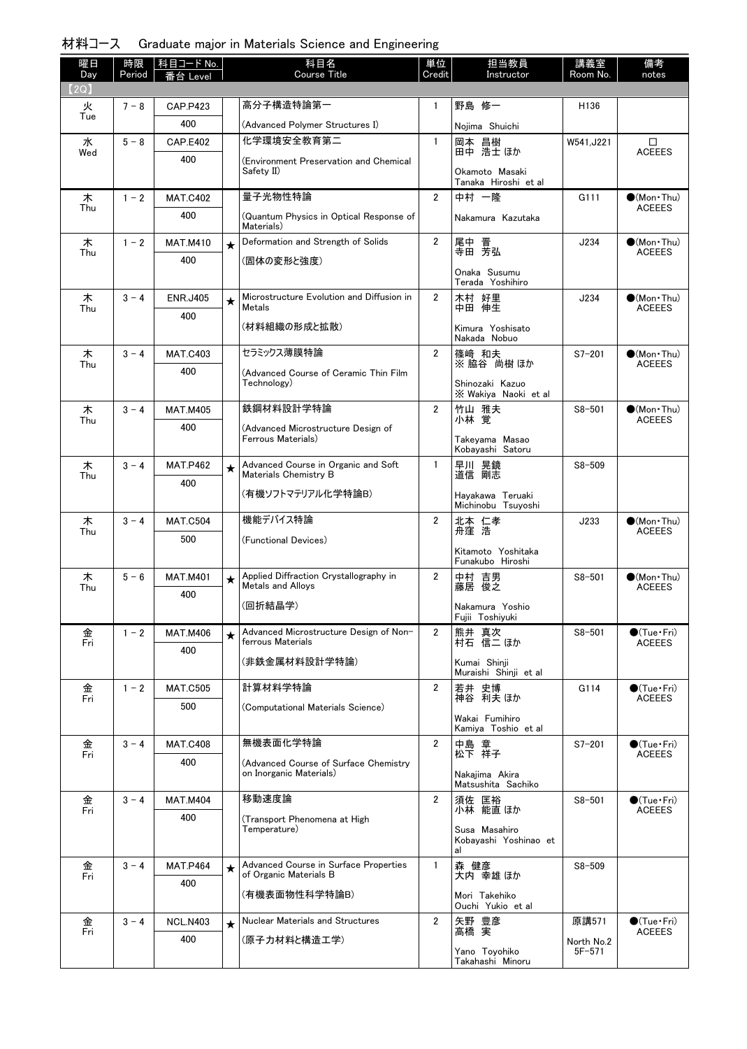| 材料コース Graduate major in Materials Science and Engineering |  |  |  |  |  |  |  |  |
|-----------------------------------------------------------|--|--|--|--|--|--|--|--|
|-----------------------------------------------------------|--|--|--|--|--|--|--|--|

| 曜日<br>Day | 時限<br>Period | 科目コード No.<br>番台 Level  |         | 科目名<br><b>Course Title</b>                                         | 単位<br>Credit   | 担当教員<br>Instructor                      | 講義室<br>Room No.  | 備考<br>notes                                  |
|-----------|--------------|------------------------|---------|--------------------------------------------------------------------|----------------|-----------------------------------------|------------------|----------------------------------------------|
| 【2Q】      |              |                        |         |                                                                    |                |                                         |                  |                                              |
| 火<br>Tue  | $7 - 8$      | <b>CAP.P423</b>        |         | 高分子構造特論第一                                                          | 1              | 野島 修一                                   | H <sub>136</sub> |                                              |
|           |              | 400                    |         | (Advanced Polymer Structures I)                                    |                | Nojima Shuichi                          |                  |                                              |
| 水<br>Wed  | $5 - 8$      | <b>CAP.E402</b>        |         | 化学環境安全教育第二                                                         | $\mathbf{1}$   | 岡本 昌樹<br>田中 浩士 ほか                       | W541.J221        | $\Box$<br><b>ACEEES</b>                      |
|           |              | 400                    |         | (Environment Preservation and Chemical<br>Safety II)               |                | Okamoto Masaki<br>Tanaka Hiroshi et al  |                  |                                              |
| 木         | $1 - 2$      | <b>MAT.C402</b>        |         | 量子光物性特論                                                            | $\overline{2}$ | 中村 一降                                   | G111             | $\bullet$ (Mon Thu)                          |
| Thu       |              | 400                    |         | (Quantum Physics in Optical Response of<br>Materials)              |                | Nakamura Kazutaka                       |                  | <b>ACEEES</b>                                |
| 木         | $1 - 2$      | <b>MAT.M410</b>        | $\star$ | Deformation and Strength of Solids                                 | $\overline{2}$ | 尾中 晋<br>寺田 芳弘                           | J234             | $\bullet$ (Mon Thu)                          |
| Thu       |              | 400                    |         | (固体の変形と強度)                                                         |                |                                         |                  | <b>ACEEES</b>                                |
|           |              |                        |         |                                                                    |                | Onaka Susumu<br>Terada Yoshihiro        |                  |                                              |
| 木         | $3 - 4$      | <b>ENR.J405</b>        | $\star$ | Microstructure Evolution and Diffusion in                          | $\overline{2}$ | 木村 好里                                   | J234             | $\bullet$ (Mon Thu)                          |
| Thu       |              | 400                    |         | Metals                                                             |                | 中田 伸生                                   |                  | <b>ACEEES</b>                                |
|           |              |                        |         | (材料組織の形成と拡散)                                                       |                | Kimura Yoshisato<br>Nakada Nobuo        |                  |                                              |
| 木         | $3 - 4$      | <b>MAT.C403</b>        |         | セラミックス薄膜特論                                                         | $\overline{2}$ | 篠崎 和夫                                   | $S7 - 201$       | $\bigcirc$ (Mon Thu)                         |
| Thu       |              | 400                    |         | (Advanced Course of Ceramic Thin Film                              |                | ※脇谷 尚樹ほか                                |                  | <b>ACEEES</b>                                |
|           |              |                        |         | Technology)                                                        |                | Shinozaki Kazuo<br>X Wakiya Naoki et al |                  |                                              |
| 木<br>Thu  | $3 - 4$      | <b>MAT.M405</b>        |         | 鉄鋼材料設計学特論                                                          | $\overline{2}$ | 竹山 雅夫<br>小林覚                            | $S8 - 501$       | $\bullet$ (Mon $\cdot$ Thu)<br><b>ACEEES</b> |
|           |              | 400                    |         | (Advanced Microstructure Design of<br>Ferrous Materials)           |                | Takeyama Masao                          |                  |                                              |
|           |              |                        |         |                                                                    |                | Kobayashi Satoru                        |                  |                                              |
| 木<br>Thu  | $3 - 4$      | <b>MAT.P462</b>        | $\star$ | Advanced Course in Organic and Soft<br>Materials Chemistry B       | $\mathbf{1}$   | 早川 晃鏡<br>道信 剛志                          | $S8 - 509$       |                                              |
|           |              | 400                    |         | (有機ソフトマテリアル化学特論B)                                                  |                | Hayakawa Teruaki                        |                  |                                              |
|           |              |                        |         |                                                                    |                | Michinobu Tsuyoshi                      |                  |                                              |
| 木<br>Thu  | $3 - 4$      | <b>MAT.C504</b>        |         | 機能デバイス特論                                                           | $\overline{2}$ | 北本 仁孝<br>舟窪 浩                           | J233             | $\bullet$ (Mon Thu)<br><b>ACEEES</b>         |
|           |              | 500                    |         | (Functional Devices)                                               |                | Kitamoto Yoshitaka                      |                  |                                              |
|           |              |                        |         |                                                                    |                | Funakubo Hiroshi                        |                  |                                              |
| 木<br>Thu  | $5 - 6$      | <b>MAT.M401</b><br>400 | $\star$ | Applied Diffraction Crystallography in<br><b>Metals and Allovs</b> | $\overline{2}$ | 中村 吉男<br>藤居 俊之                          | $S8 - 501$       | $\bullet$ (Mon Thu)<br><b>ACEEES</b>         |
|           |              |                        |         | (回折結晶学)                                                            |                | Nakamura Yoshio<br>Fujii Toshiyuki      |                  |                                              |
| 金         | $1 - 2$      | <b>MAT.M406</b>        | $\star$ | Advanced Microstructure Design of Non-                             | $\overline{2}$ | 熊井 真次                                   | $S8 - 501$       | $\bigcirc$ (Tue · Fri)                       |
| Fri       |              | 400                    |         | ferrous Materials                                                  |                | 村石 信二 ほか                                |                  | <b>ACEEES</b>                                |
|           |              |                        |         | (非鉄金属材料設計学特論)                                                      |                | Kumai Shinji<br>Muraishi Shinji et al   |                  |                                              |
| 金         | $1 - 2$      | <b>MAT.C505</b>        |         | 計算材料学特論                                                            | $\overline{2}$ | 若井 史博<br>神谷 利夫 ほか                       | G114             | $\bullet$ (Tue•Fri)                          |
| Fri       |              | 500                    |         | (Computational Materials Science)                                  |                |                                         |                  | <b>ACEEES</b>                                |
|           |              |                        |         |                                                                    |                | Wakai Fumihiro<br>Kamiya Toshio et al   |                  |                                              |
| 金<br>Fri  | $3 - 4$      | <b>MAT.C408</b>        |         | 無機表面化学特論                                                           | $\overline{2}$ | 中島 章<br>松下 祥子                           | $S7 - 201$       | $\bigcirc$ (Tue · Fri)<br><b>ACEEES</b>      |
|           |              | 400                    |         | (Advanced Course of Surface Chemistry<br>on Inorganic Materials)   |                | Nakajima Akira                          |                  |                                              |
|           |              |                        |         |                                                                    |                | Matsushita Sachiko                      |                  |                                              |
| 金<br>Fri  | $3 - 4$      | <b>MAT.M404</b>        |         | 移動速度論                                                              | $\overline{2}$ | 須佐 匡裕<br>小林 能直 ほか                       | $S8 - 501$       | $\bigcirc$ (Tue · Fri)<br><b>ACEEES</b>      |
|           |              | 400                    |         | (Transport Phenomena at High<br>Temperature)                       |                | Susa Masahiro                           |                  |                                              |
|           |              |                        |         |                                                                    |                | Kobayashi Yoshinao et<br>al             |                  |                                              |
| 金         | $3 - 4$      | <b>MAT.P464</b>        | $\star$ | Advanced Course in Surface Properties                              | $\mathbf{1}$   | 森 健彦                                    | $S8 - 509$       |                                              |
| Fri       |              | 400                    |         | of Organic Materials B                                             |                | 大内 幸雄 ほか                                |                  |                                              |
|           |              |                        |         | (有機表面物性科学特論B)                                                      |                | Mori Takehiko<br>Ouchi Yukio et al      |                  |                                              |
| 金         | $3 - 4$      | <b>NCL.N403</b>        | $\star$ | Nuclear Materials and Structures                                   | $\overline{2}$ | 矢野 豊彦                                   | 原講571            | $\bigcirc$ (Tue•Fri)                         |
| Fri       |              | 400                    |         | (原子力材料と構造工学)                                                       |                | 高橋 実                                    | North No.2       | <b>ACEEES</b>                                |
|           |              |                        |         |                                                                    |                | Yano Toyohiko<br>Takahashi Minoru       | $5F - 571$       |                                              |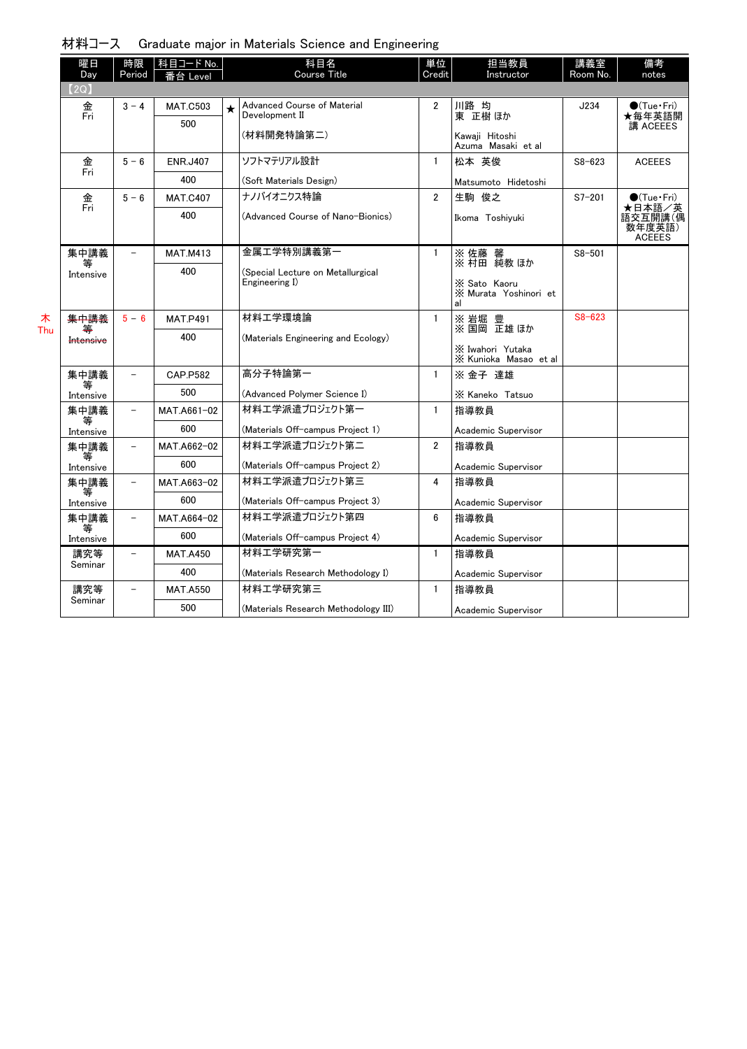| 材料コース Graduate major in Materials Science and Engineering |  |  |  |  |  |
|-----------------------------------------------------------|--|--|--|--|--|
|-----------------------------------------------------------|--|--|--|--|--|

| 曜日             | 時限             | │科目コード No.      |   | 科目名                                  | 単位             | 担当教員                                        | 講義室        | 備考                                           |
|----------------|----------------|-----------------|---|--------------------------------------|----------------|---------------------------------------------|------------|----------------------------------------------|
| Day<br>(2Q)    | Period         | ≸台 Level        |   | <b>Course Title</b>                  | Credit         | Instructor                                  | Room No.   | notes                                        |
| 金              | $3 - 4$        | <b>MAT.C503</b> | ★ | Advanced Course of Material          | 2              | 川路 均                                        | J234       | $\bullet$ (Tue•Fri)                          |
| Fri            |                | 500             |   | Development II                       |                | 東 正樹 ほか                                     |            | ★毎年英語開<br>講 ACEEES                           |
|                |                |                 |   | (材料開発特論第二)                           |                | Kawaji Hitoshi<br>Azuma Masaki et al        |            |                                              |
| 金              | $5 - 6$        | <b>ENR.J407</b> |   | ソフトマテリアル設計                           | $\mathbf{1}$   | 松本 英俊                                       | $S8 - 623$ | <b>ACEEES</b>                                |
| Fri            |                | 400             |   | (Soft Materials Design)              |                | Matsumoto Hidetoshi                         |            |                                              |
| 金              | $5 - 6$        | <b>MAT.C407</b> |   | ナノバイオニクス特論                           | $\overline{2}$ | 生駒 俊之                                       | $S7 - 201$ | $\bigcirc$ (Tue·Fri)                         |
| Fri            |                | 400             |   | (Advanced Course of Nano-Bionics)    |                | Ikoma Toshiyuki                             |            | ★日本語/英<br>語交互開講(偶<br>数年度英語)<br><b>ACEEES</b> |
| 集中講義           |                | <b>MAT.M413</b> |   | 金属工学特別講義第一                           | $\mathbf{1}$   | ※佐藤 馨<br>※村田 純教ほか                           | $S8 - 501$ |                                              |
| Intensive      |                | 400             |   | (Special Lecture on Metallurgical    |                |                                             |            |                                              |
|                |                |                 |   | Engineering I)                       |                | X Sato Kaoru<br>X Murata Yoshinori et<br>al |            |                                              |
| 集中講義           | $5 - 6$        | <b>MAT.P491</b> |   | 材料工学環境論                              | $\mathbf{1}$   | ※ 岩堀 豊<br>※ 国岡 正雄 ほか                        | $S8 - 623$ |                                              |
| 等<br>Intensive |                | 400             |   | (Materials Engineering and Ecology)  |                | X Iwahori Yutaka<br>X Kunioka Masao et al   |            |                                              |
| 集中講義           |                | <b>CAP.P582</b> |   | 高分子特論第一                              | $\mathbf{1}$   | ※ 金子 達雄                                     |            |                                              |
| Intensive      |                | 500             |   | (Advanced Polymer Science I)         |                | X Kaneko Tatsuo                             |            |                                              |
| 集中講義           | $\overline{a}$ | MAT.A661-02     |   | 材料工学派遣プロジェクト第一                       | $\mathbf{1}$   | 指導教員                                        |            |                                              |
| 等<br>Intensive |                | 600             |   | (Materials Off-campus Project 1)     |                | Academic Supervisor                         |            |                                              |
| 集中講義           |                | MAT.A662-02     |   | 材料工学派遣プロジェクト第二                       | $\overline{2}$ | 指導教員                                        |            |                                              |
| 等<br>Intensive |                | 600             |   | (Materials Off-campus Project 2)     |                | Academic Supervisor                         |            |                                              |
| 集中講義           |                | MAT.A663-02     |   | 材料エ学派遣プロジェクト第三                       | 4              | 指導教員                                        |            |                                              |
| 等<br>Intensive |                | 600             |   | (Materials Off-campus Project 3)     |                | Academic Supervisor                         |            |                                              |
| 集中講義           |                | MAT.A664-02     |   | 材料エ学派遣プロジェクト第四                       | 6              | 指導教員                                        |            |                                              |
| Intensive      |                | 600             |   | (Materials Off-campus Project 4)     |                | Academic Supervisor                         |            |                                              |
| 講究等            | $\equiv$       | <b>MAT.A450</b> |   | 材料工学研究第一                             | $\mathbf{1}$   | 指導教員                                        |            |                                              |
| Seminar        |                | 400             |   | (Materials Research Methodology I)   |                | Academic Supervisor                         |            |                                              |
| 講究等            |                | <b>MAT.A550</b> |   | 材料工学研究第三                             | $\mathbf{1}$   | 指導教員                                        |            |                                              |
| Seminar        |                | 500             |   | (Materials Research Methodology III) |                | Academic Supervisor                         |            |                                              |

木 Thu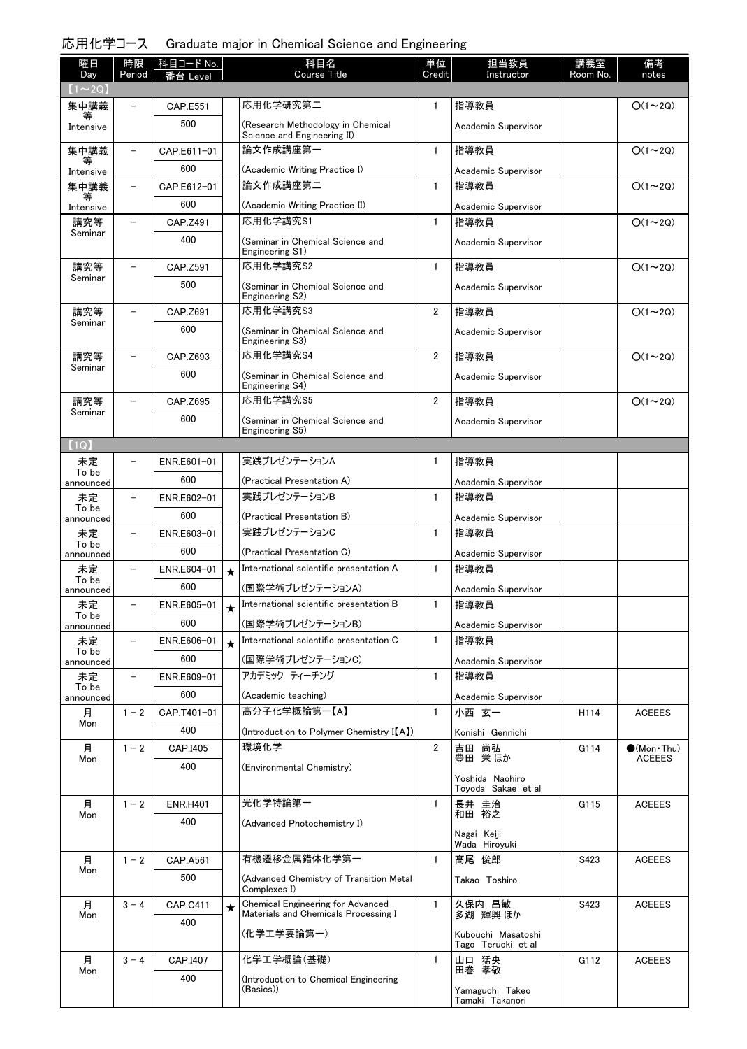| 曜日                                   | 時限                       | 科目コード No.       |         | 科目名<br><b>Course Title</b>                                                | 単位<br>Credit   | 担当教員<br>Instructor                    | 講義室<br>Room No. | 備考                  |
|--------------------------------------|--------------------------|-----------------|---------|---------------------------------------------------------------------------|----------------|---------------------------------------|-----------------|---------------------|
| Day<br>$(1\!\thicksim\!2\mathrm{Q})$ | Period                   | Level           |         |                                                                           |                |                                       |                 | notes               |
| 集中講義                                 |                          | <b>CAP.E551</b> |         | 応用化学研究第二                                                                  | $\mathbf{1}$   | 指導教員                                  |                 | $O(1\sim 2Q)$       |
| Intensive                            |                          | 500             |         | (Research Methodology in Chemical<br>Science and Engineering II)          |                | Academic Supervisor                   |                 |                     |
| 集中講義                                 | -                        | CAP.E611-01     |         | 論文作成講座第一                                                                  | $\mathbf{1}$   | 指導教員                                  |                 | $O(1\sim 2Q)$       |
| Intensive                            |                          | 600             |         | (Academic Writing Practice I)                                             |                | Academic Supervisor                   |                 |                     |
| 集中講義                                 | $\overline{\phantom{0}}$ | CAP.E612-01     |         | 論文作成講座第二                                                                  | $\mathbf{1}$   | 指導教員                                  |                 | $O(1\sim 2Q)$       |
| Intensive                            |                          | 600             |         | (Academic Writing Practice II)                                            |                | Academic Supervisor                   |                 |                     |
| 講究等                                  | $\qquad \qquad -$        | CAP.Z491        |         | 応用化学講究S1                                                                  | $\mathbf{1}$   | 指導教員                                  |                 | $O(1\sim 2Q)$       |
| Seminar                              |                          | 400             |         | (Seminar in Chemical Science and<br>Engineering S1)                       |                | Academic Supervisor                   |                 |                     |
| 講究等                                  |                          | CAP.Z591        |         | 応用化学講究S2                                                                  | $\mathbf{1}$   | 指導教員                                  |                 | $O(1\sim 2Q)$       |
| Seminar                              |                          | 500             |         | (Seminar in Chemical Science and<br>Engineering S2)                       |                | Academic Supervisor                   |                 |                     |
| 講究等                                  |                          | CAP.Z691        |         | 応用化学講究S3                                                                  | $\overline{2}$ | 指導教員                                  |                 | $O(1\sim 2Q)$       |
| Seminar                              |                          | 600             |         | (Seminar in Chemical Science and<br>Engineering S3)                       |                | Academic Supervisor                   |                 |                     |
| 講究等                                  | $\overline{\phantom{0}}$ | CAP.Z693        |         | 応用化学講究S4                                                                  | $\overline{2}$ | 指導教員                                  |                 | $O(1\sim 2Q)$       |
| Seminar                              |                          | 600             |         | (Seminar in Chemical Science and<br>Engineering S4)                       |                | Academic Supervisor                   |                 |                     |
| 講究等                                  | $\overline{\phantom{0}}$ | CAP.Z695        |         | 応用化学講究S5                                                                  | $\overline{2}$ | 指導教員                                  |                 | $O(1\sim 2Q)$       |
| Seminar                              |                          | 600             |         | (Seminar in Chemical Science and                                          |                | Academic Supervisor                   |                 |                     |
| (1Q)                                 |                          |                 |         | Engineering S5)                                                           |                |                                       |                 |                     |
| 未定                                   | $\overline{a}$           | ENR.E601-01     |         | 実践プレゼンテーションA                                                              | 1              | 指導教員                                  |                 |                     |
| To be                                |                          | 600             |         | (Practical Presentation A)                                                |                | Academic Supervisor                   |                 |                     |
| announced<br>未定                      | $\qquad \qquad -$        | ENR.E602-01     |         | 実践プレゼンテーションB                                                              | $\mathbf{1}$   | 指導教員                                  |                 |                     |
| To be<br>announced                   |                          | 600             |         | (Practical Presentation B)                                                |                | Academic Supervisor                   |                 |                     |
| 未定                                   | $\overline{a}$           | ENR.E603-01     |         | 実践プレゼンテーションC                                                              | $\mathbf{1}$   | 指導教員                                  |                 |                     |
| To be                                |                          | 600             |         | (Practical Presentation C)                                                |                | Academic Supervisor                   |                 |                     |
| announced<br>未定                      |                          | ENR.E604-01     | $\star$ | International scientific presentation A                                   | $\mathbf{1}$   | 指導教員                                  |                 |                     |
| To be<br>announced                   |                          | 600             |         | (国際学術プレゼンテーションA)                                                          |                | Academic Supervisor                   |                 |                     |
| 未定                                   | $\overline{\phantom{0}}$ | ENR.E605-01     | $\star$ | International scientific presentation B                                   | $\mathbf{1}$   | 指導教員                                  |                 |                     |
| To be<br>announced                   |                          | 600             |         | (国際学術プレゼンテーションB)                                                          |                | Academic Supervisor                   |                 |                     |
| 未定                                   | $\overline{\phantom{0}}$ | ENR.E606-01     | $\star$ | International scientific presentation C                                   | $\mathbf{1}$   | 指導教員                                  |                 |                     |
| To be<br>announced                   |                          | 600             |         | (国際学術プレゼンテーションC)                                                          |                | Academic Supervisor                   |                 |                     |
| 未定                                   | $\overline{\phantom{a}}$ | ENR.E609-01     |         | アカデミック ティーチング                                                             | 1              | 指導教員                                  |                 |                     |
| To be<br>announced                   |                          | 600             |         | (Academic teaching)                                                       |                | Academic Supervisor                   |                 |                     |
| 月                                    | $1 - 2$                  | CAP.T401-01     |         | 高分子化学概論第一【A】                                                              | $\mathbf{1}$   | 小西 玄一                                 | H114            | <b>ACEEES</b>       |
| Mon                                  |                          | 400             |         | (Introduction to Polymer Chemistry I(A))                                  |                | Konishi Gennichi                      |                 |                     |
| 月                                    | $1 - 2$                  | CAP.I405        |         | 環境化学                                                                      | $\overline{2}$ | 吉田 尚弘                                 | G114            | $\bullet$ (Mon•Thu) |
| Mon                                  |                          | 400             |         | (Environmental Chemistry)                                                 |                | 豊田 栄ほか                                |                 | <b>ACEEES</b>       |
|                                      |                          |                 |         |                                                                           |                | Yoshida Naohiro<br>Toyoda Sakae et al |                 |                     |
| 月                                    | $1 - 2$                  | <b>ENR.H401</b> |         | 光化学特論第一                                                                   | 1              | 長井 圭治                                 | G115            | <b>ACEEES</b>       |
| Mon                                  |                          | 400             |         | (Advanced Photochemistry I)                                               |                | 和田 裕之                                 |                 |                     |
|                                      |                          |                 |         |                                                                           |                | Nagai Keiji<br>Wada Hiroyuki          |                 |                     |
| 月                                    | $1 - 2$                  | CAP.A561        |         | 有機遷移金属錯体化学第一                                                              | $\mathbf{1}$   | 髙尾 俊郎                                 | S423            | <b>ACEEES</b>       |
| Mon                                  |                          | 500             |         | (Advanced Chemistry of Transition Metal                                   |                | Takao Toshiro                         |                 |                     |
|                                      |                          |                 |         | Complexes I)                                                              |                |                                       |                 |                     |
| 月<br>Mon                             | $3 - 4$                  | CAP.C411        | $\star$ | Chemical Engineering for Advanced<br>Materials and Chemicals Processing I | $\mathbf{1}$   | 久保内 昌敏<br>多湖 輝興 ほか                    | S423            | <b>ACEEES</b>       |
|                                      |                          | 400             |         | (化学工学要論第一)                                                                |                | Kubouchi Masatoshi                    |                 |                     |
|                                      |                          |                 |         |                                                                           |                | Tago Teruoki et al                    |                 |                     |
| 月<br>Mon                             | $3 - 4$                  | CAP.I407        |         | 化学工学概論(基礎)                                                                | 1              | 山口 猛央<br>田巻 孝敬                        | G112            | <b>ACEEES</b>       |
|                                      |                          | 400             |         | (Introduction to Chemical Engineering<br>(Basics))                        |                | Yamaguchi Takeo<br>Tamaki Takanori    |                 |                     |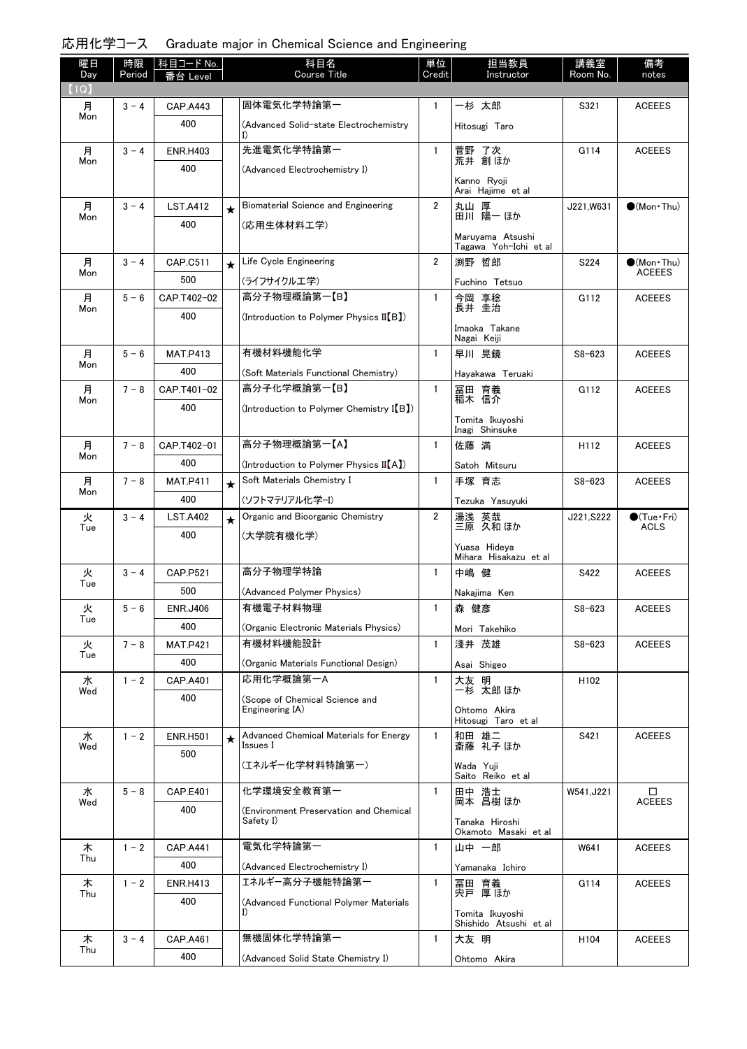| 曜日<br>Day | 時限<br>Period | │科目コード No. │<br>番台 Level |         | 科目名<br>Course Title                                | 単位<br>Credit   | 担当教員<br>Instructor                        | 講義室<br>Room No.  | 備考<br>notes                          |
|-----------|--------------|--------------------------|---------|----------------------------------------------------|----------------|-------------------------------------------|------------------|--------------------------------------|
| (1Q)      |              |                          |         |                                                    |                |                                           |                  |                                      |
| 月<br>Mon  | $3 - 4$      | CAP.A443                 |         | 固体電気化学特論第一                                         | $\mathbf{1}$   | 一杉 太郎                                     | S321             | <b>ACEEES</b>                        |
|           |              | 400                      |         | (Advanced Solid-state Electrochemistry             |                | Hitosugi Taro                             |                  |                                      |
| 月<br>Mon  | $3 - 4$      | <b>ENR.H403</b>          |         | 先進電気化学特論第一                                         | $\mathbf{1}$   | 菅野 了次<br>荒井 創ほか                           | G114             | <b>ACEEES</b>                        |
|           |              | 400                      |         | (Advanced Electrochemistry I)                      |                |                                           |                  |                                      |
|           |              |                          |         |                                                    |                | Kanno Ryoji<br>Arai Hajime et al          |                  |                                      |
| 月<br>Mon  | $3 - 4$      | <b>LST.A412</b>          | $\star$ | Biomaterial Science and Engineering                | $\overline{2}$ | 丸山 厚<br>田川 陽一 ほか                          | J221.W631        | $\bigcirc$ (Mon Thu)                 |
|           |              | 400                      |         | (応用生体材料工学)                                         |                |                                           |                  |                                      |
|           |              |                          |         |                                                    |                | Maruyama Atsushi<br>Tagawa Yoh-Ichi et al |                  |                                      |
| 月<br>Mon  | $3 - 4$      | CAP.C511                 | $\star$ | Life Cycle Engineering                             | $\overline{2}$ | 渕野 哲郎                                     | S224             | $\bullet$ (Mon•Thu)<br><b>ACEEES</b> |
|           |              | 500                      |         | (ライフサイクルエ学)                                        |                | Fuchino Tetsuo                            |                  |                                      |
| 月<br>Mon  | $5 - 6$      | CAP.T402-02              |         | 高分子物理概論第一【B】                                       | $\mathbf{1}$   | 今岡 享稔<br>長井 圭治                            | G112             | <b>ACEEES</b>                        |
|           |              | 400                      |         | (Introduction to Polymer Physics II[B])            |                | Imaoka Takane                             |                  |                                      |
|           |              |                          |         |                                                    |                | Nagai Keiji                               |                  |                                      |
| 月<br>Mon  | $5 - 6$      | <b>MAT.P413</b>          |         | 有機材料機能化学                                           | $\mathbf{1}$   | 早川 晃鏡                                     | $S8 - 623$       | <b>ACEEES</b>                        |
|           |              | 400                      |         | (Soft Materials Functional Chemistry)              |                | Havakawa Teruaki                          |                  |                                      |
| 月<br>Mon  | $7 - 8$      | CAP.T401-02              |         | 高分子化学概論第一【B】                                       | $\mathbf{1}$   | 冨田 育義<br>稲木 信介                            | G112             | <b>ACEEES</b>                        |
|           |              | 400                      |         | (Introduction to Polymer Chemistry I(B))           |                | Tomita Ikuyoshi                           |                  |                                      |
|           |              |                          |         |                                                    |                | Inagi Shinsuke                            |                  |                                      |
| 月<br>Mon  | $7 - 8$      | CAP.T402-01              |         | 高分子物理概論第一【A】                                       | $\mathbf{1}$   | 佐藤 満                                      | H112             | <b>ACEEES</b>                        |
|           |              | 400                      |         | (Introduction to Polymer Physics II(A))            |                | Satoh Mitsuru                             |                  |                                      |
| 月<br>Mon  | $7 - 8$      | <b>MAT.P411</b>          | $\star$ | Soft Materials Chemistry I                         | $\mathbf{1}$   | 手塚 育志                                     | $S8 - 623$       | <b>ACEEES</b>                        |
|           |              | 400                      |         | (ソフトマテリアル化学-I)                                     |                | Tezuka Yasuyuki                           |                  |                                      |
| 火<br>Tue  | $3 - 4$      | <b>LST.A402</b>          | $\star$ | Organic and Bioorganic Chemistry                   | $\overline{2}$ | 湯浅 英哉<br>三原 久和 ほか                         | J221, S222       | $\bullet$ (Tue $\cdot$ Fri)<br>ACLS  |
|           |              | 400                      |         | (大学院有機化学)                                          |                | Yuasa Hideya                              |                  |                                      |
|           |              |                          |         |                                                    |                | Mihara Hisakazu et al                     |                  |                                      |
| 火<br>Tue  | $3 - 4$      | <b>CAP.P521</b>          |         | 高分子物理学特論                                           | $\mathbf{1}$   | 中嶋 健                                      | S422             | <b>ACEEES</b>                        |
|           |              | 500                      |         | (Advanced Polymer Physics)                         |                | Nakajima Ken                              |                  |                                      |
| 火<br>Tue  | $5 - 6$      | <b>ENR.J406</b>          |         | 有機電子材料物理                                           | 1              | 森 健彦                                      | $S8 - 623$       | <b>ACEEES</b>                        |
|           |              | 400                      |         | (Organic Electronic Materials Physics)<br>有機材料機能設計 |                | Mori Takehiko                             |                  |                                      |
| 火<br>Tue  | $7 - 8$      | <b>MAT.P421</b><br>400   |         |                                                    | $\mathbf{1}$   | 淺井 茂雄                                     | $S8 - 623$       | <b>ACEEES</b>                        |
| 水         | $1 - 2$      | CAP.A401                 |         | (Organic Materials Functional Design)<br>応用化学概論第一A | $\mathbf{1}$   | Asai Shigeo<br>大友 明                       | H <sub>102</sub> |                                      |
| Wed       |              | 400                      |         | (Scope of Chemical Science and                     |                | 一杉 太郎 ほか                                  |                  |                                      |
|           |              |                          |         | Engineering IA)                                    |                | Ohtomo Akira                              |                  |                                      |
| 水         | $1 - 2$      | <b>ENR.H501</b>          |         | Advanced Chemical Materials for Energy             | $\mathbf{1}$   | Hitosugi Taro et al                       | S421             | <b>ACEEES</b>                        |
| Wed       |              | 500                      | $\star$ | Issues I                                           |                | 和田 雄二<br>斎藤 礼子ほか                          |                  |                                      |
|           |              |                          |         | (エネルギー化学材料特論第一)                                    |                | Wada Yuji                                 |                  |                                      |
| 水         | $5 - 8$      | <b>CAP.E401</b>          |         | 化学環境安全教育第一                                         | $\mathbf{1}$   | Saito Reiko et al<br>田中 浩士                | W541, J221       | □                                    |
| Wed       |              | 400                      |         | (Environment Preservation and Chemical             |                | 岡本 昌樹 ほか                                  |                  | <b>ACEEES</b>                        |
|           |              |                          |         | Safety I)                                          |                | Tanaka Hiroshi<br>Okamoto Masaki et al    |                  |                                      |
| 木         | $1 - 2$      | <b>CAP.A441</b>          |         | 電気化学特論第一                                           | $\mathbf{1}$   | 山中 一郎                                     | W641             | <b>ACEEES</b>                        |
| Thu       |              | 400                      |         | (Advanced Electrochemistry I)                      |                | Yamanaka Ichiro                           |                  |                                      |
| 木         | $1 - 2$      | <b>ENR.H413</b>          |         | エネルギー高分子機能特論第一                                     | $\mathbf{1}$   | 冨田 育義                                     | G114             | <b>ACEEES</b>                        |
| Thu       |              | 400                      |         | (Advanced Functional Polymer Materials             |                | 宍戸 厚ほか                                    |                  |                                      |
|           |              |                          |         | I)                                                 |                | Tomita Ikuyoshi<br>Shishido Atsushi et al |                  |                                      |
| 木         | $3 - 4$      | CAP.A461                 |         | 無機固体化学特論第一                                         | $\mathbf{1}$   | 大友 明                                      | H <sub>104</sub> | <b>ACEEES</b>                        |
| Thu       |              | 400                      |         | (Advanced Solid State Chemistry I)                 |                | Ohtomo Akira                              |                  |                                      |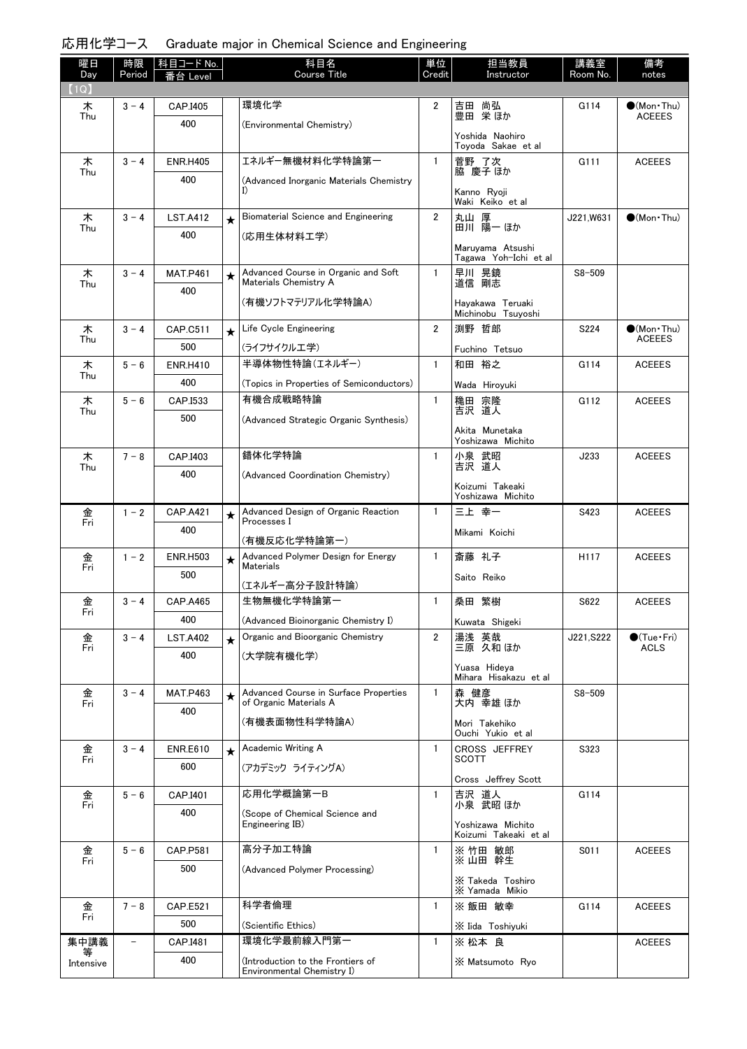| 曜日<br>Day | 時限<br>Period | 科目コード No.<br>番台 Level |         | 科目名<br><b>Course Title</b>                                      | 単位<br>Credit   | 担当教員<br>Instructor                         | 講義室<br>Room No.  | 備考<br>notes                       |
|-----------|--------------|-----------------------|---------|-----------------------------------------------------------------|----------------|--------------------------------------------|------------------|-----------------------------------|
| (1Q)      |              |                       |         |                                                                 |                |                                            |                  |                                   |
| 木<br>Thu  | $3 - 4$      | CAP.I405              |         | 環境化学                                                            | $\overline{2}$ | 吉田 尚弘<br>豊田 栄ほか                            | G114             | $(Mon\cdot Thu)$<br><b>ACEEES</b> |
|           |              | 400                   |         | (Environmental Chemistry)                                       |                | Yoshida Naohiro<br>Toyoda Sakae et al      |                  |                                   |
| 木         | $3 - 4$      | <b>ENR.H405</b>       |         | エネルギー無機材料化学特論第一                                                 | $\mathbf{1}$   | 菅野 了次                                      | G111             | <b>ACEEES</b>                     |
| Thu       |              | 400                   |         | (Advanced Inorganic Materials Chemistry                         |                | 脇 慶子 ほか<br>Kanno Ryoji<br>Waki Keiko et al |                  |                                   |
| 木         | $3 - 4$      | <b>LST.A412</b>       | $\star$ | Biomaterial Science and Engineering                             | $\overline{2}$ | 丸山 厚<br>田川 陽一 ほか                           | J221,W631        | $\bigcirc$ (Mon Thu)              |
| Thu       |              | 400                   |         | (応用生体材料工学)                                                      |                |                                            |                  |                                   |
|           |              |                       |         |                                                                 |                | Maruyama Atsushi<br>Tagawa Yoh-Ichi et al  |                  |                                   |
| 木<br>Thu  | $3 - 4$      | <b>MAT.P461</b>       | $\star$ | Advanced Course in Organic and Soft<br>Materials Chemistry A    | $\mathbf{1}$   | 早川 晃鏡<br>道信 剛志                             | $S8 - 509$       |                                   |
|           |              | 400                   |         | (有機ソフトマテリアル化学特論A)                                               |                | Hayakawa Teruaki                           |                  |                                   |
| 木         | $3 - 4$      | CAP.C511              |         | Life Cycle Engineering                                          | $\overline{2}$ | Michinobu Tsuyoshi<br>渕野 哲郎                | S224             | $\bullet$ (Mon Thu)               |
| Thu       |              | 500                   | $\star$ | (ライフサイクルエ学)                                                     |                | Fuchino Tetsuo                             |                  | <b>ACEEES</b>                     |
| 木         | $5 - 6$      | <b>ENR.H410</b>       |         | 半導体物性特論(エネルギー)                                                  | $\mathbf{1}$   | 和田 裕之                                      | G114             | <b>ACEEES</b>                     |
| Thu       |              | 400                   |         | (Topics in Properties of Semiconductors)                        |                |                                            |                  |                                   |
| 木         | $5 - 6$      | CAP.I533              |         | 有機合成戦略特論                                                        | $\mathbf{1}$   | Wada Hiroyuki                              | G112             | <b>ACEEES</b>                     |
| Thu       |              | 500                   |         | (Advanced Strategic Organic Synthesis)                          |                | 穐田 宗隆<br>吉沢 道人                             |                  |                                   |
|           |              |                       |         |                                                                 |                | Akita Munetaka<br>Yoshizawa Michito        |                  |                                   |
| 木<br>Thu  | $7 - 8$      | CAP.I403              |         | 錯体化学特論                                                          | $\mathbf{1}$   | 小泉 武昭<br>吉沢 道人                             | J233             | <b>ACEEES</b>                     |
|           |              | 400                   |         | (Advanced Coordination Chemistry)                               |                | Koizumi Takeaki                            |                  |                                   |
|           |              |                       |         |                                                                 |                | Yoshizawa Michito                          |                  |                                   |
| 金<br>Fri  | $1 - 2$      | <b>CAP.A421</b>       | $\star$ | Advanced Design of Organic Reaction<br>Processes I              | $\mathbf{1}$   | 三上 幸一                                      | S423             | <b>ACEEES</b>                     |
|           |              | 400                   |         | (有機反応化学特論第一)                                                    |                | Mikami Koichi                              |                  |                                   |
| 金<br>Fri  | $1 - 2$      | <b>ENR.H503</b>       | $\star$ | Advanced Polymer Design for Energy<br><b>Materials</b>          | $\mathbf{1}$   | 斎藤 礼子                                      | H <sub>117</sub> | <b>ACEEES</b>                     |
|           |              | 500                   |         | (エネルギー高分子設計特論)                                                  |                | Saito Reiko                                |                  |                                   |
| 金         | $3 - 4$      | <b>CAP.A465</b>       |         | 生物無機化学特論第一                                                      | $\mathbf{1}$   | 桑田 繁樹                                      | S622             | <b>ACEEES</b>                     |
| Fri       |              | 400                   |         | (Advanced Bioinorganic Chemistry I)                             |                | Kuwata Shigeki                             |                  |                                   |
| 金<br>Fri  | $3 - 4$      | <b>LST.A402</b>       | $\star$ | Organic and Bioorganic Chemistry                                | 2              | 湯浅 英哉<br>三原 久和ほか                           | J221, S222       | $\bullet$ (Tue · Fri)<br>ACLS     |
|           |              | 400                   |         | (大学院有機化学)                                                       |                |                                            |                  |                                   |
|           |              |                       |         |                                                                 |                | Yuasa Hideya<br>Mihara Hisakazu et al      |                  |                                   |
| 金<br>Fri  | $3 - 4$      | <b>MAT.P463</b>       | $\star$ | Advanced Course in Surface Properties<br>of Organic Materials A | $\mathbf{1}$   | 森 健彦<br>大内 幸雄 ほか                           | $S8 - 509$       |                                   |
|           |              | 400                   |         | (有機表面物性科学特論A)                                                   |                | Mori Takehiko<br>Ouchi Yukio et al         |                  |                                   |
| 金         | $3 - 4$      | <b>ENR.E610</b>       | $\star$ | Academic Writing A                                              | 1              | CROSS JEFFREY                              | S323             |                                   |
| Fri       |              | 600                   |         | (アカデミック ライティングA)                                                |                | <b>SCOTT</b><br>Cross Jeffrey Scott        |                  |                                   |
| 金<br>Fri  | $5 - 6$      | CAP.I401              |         | 応用化学概論第一B                                                       | 1              | 吉沢 道人                                      | G114             |                                   |
|           |              | 400                   |         | (Scope of Chemical Science and                                  |                | 小泉 武昭 ほか                                   |                  |                                   |
|           |              |                       |         | Engineering IB)                                                 |                | Yoshizawa Michito<br>Koizumi Takeaki et al |                  |                                   |
| 金<br>Fri  | $5 - 6$      | CAP.P581              |         | 高分子加工特論                                                         | $\mathbf{1}$   | ※竹田 敏郎<br>※山田 幹生                           | S011             | <b>ACEEES</b>                     |
|           |              | 500                   |         | (Advanced Polymer Processing)                                   |                | X Takeda Toshiro                           |                  |                                   |
|           |              |                       |         |                                                                 |                | X Yamada Mikio                             |                  |                                   |
| 金<br>Fri  | $7 - 8$      | <b>CAP.E521</b>       |         | 科学者倫理                                                           | $\mathbf{1}$   | ※ 飯田 敏幸                                    | G114             | <b>ACEEES</b>                     |
| 集中講義      |              | 500                   |         | (Scientific Ethics)<br>環境化学最前線入門第一                              | $\mathbf{1}$   | X Iida Toshiyuki<br>※ 松本 良                 |                  | <b>ACEEES</b>                     |
| 等         |              | CAP.I481<br>400       |         |                                                                 |                |                                            |                  |                                   |
| Intensive |              |                       |         | (Introduction to the Frontiers of<br>Environmental Chemistry I) |                | X Matsumoto Ryo                            |                  |                                   |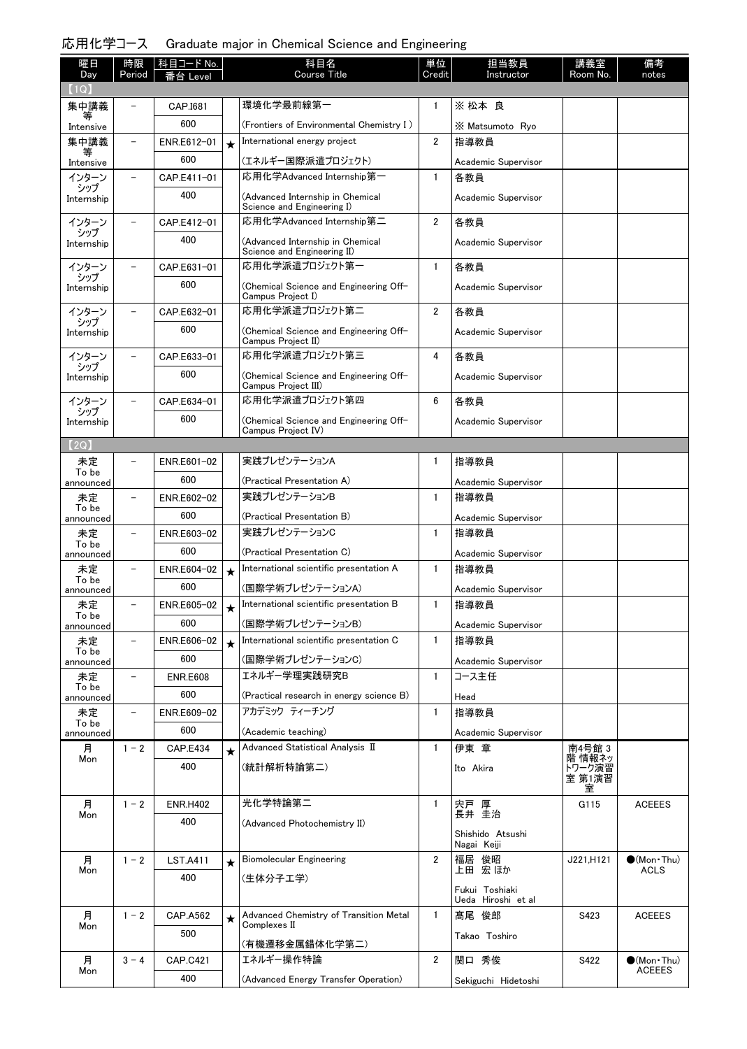| 曜日                | 時限                       | 科目コード No.       |            | 科目名                                                             | 単位             | 担当教員                            | 講義室                   | 備考                                 |
|-------------------|--------------------------|-----------------|------------|-----------------------------------------------------------------|----------------|---------------------------------|-----------------------|------------------------------------|
| Day<br>(1Q)       | Period                   | Level           |            | Course Title                                                    | Credit         | Instructor                      | Room No.              | notes                              |
| 集中講義              |                          | CAP.I681        |            | 環境化学最前線第一                                                       | $\mathbf{1}$   | ※ 松本 良                          |                       |                                    |
| Intensive         |                          | 600             |            | (Frontiers of Environmental Chemistry I)                        |                | X Matsumoto Ryo                 |                       |                                    |
| 集中講義              | $\qquad \qquad -$        | ENR.E612-01     | $\star$    | International energy project                                    | $\overline{2}$ | 指導教員                            |                       |                                    |
| Intensive         |                          | 600             |            | (エネルギー国際派遣プロジェクト)                                               |                | Academic Supervisor             |                       |                                    |
| インターン             | $\overline{\phantom{0}}$ | CAP.E411-01     |            | 応用化学Advanced Internship第一                                       | $\mathbf{1}$   | 各教員                             |                       |                                    |
| シップ<br>Internship |                          | 400             |            | (Advanced Internship in Chemical<br>Science and Engineering I)  |                | Academic Supervisor             |                       |                                    |
| インターン             | $\overline{\phantom{0}}$ | CAP.E412-01     |            | 応用化学Advanced Internship第二                                       | $\overline{2}$ | 各教員                             |                       |                                    |
| シップ<br>Internship |                          | 400             |            | (Advanced Internship in Chemical<br>Science and Engineering II) |                | Academic Supervisor             |                       |                                    |
| インターン             | $\overline{\phantom{0}}$ | CAP.E631-01     |            | 応用化学派遣プロジェクト第一                                                  | $\mathbf{1}$   | 各教員                             |                       |                                    |
| シップ<br>Internship |                          | 600             |            | (Chemical Science and Engineering Off-<br>Campus Project I)     |                | Academic Supervisor             |                       |                                    |
| インターン             | $\overline{\phantom{0}}$ | CAP.E632-01     |            | 応用化学派遣プロジェクト第二                                                  | $\overline{2}$ | 各教員                             |                       |                                    |
| シップ<br>Internship |                          | 600             |            | (Chemical Science and Engineering Off-<br>Campus Project II)    |                | Academic Supervisor             |                       |                                    |
| インターン             | $\overline{\phantom{0}}$ | CAP.E633-01     |            | 応用化学派遣プロジェクト第三                                                  | 4              | 各教員                             |                       |                                    |
| シップ<br>Internship |                          | 600             |            | (Chemical Science and Engineering Off-<br>Campus Project III)   |                | Academic Supervisor             |                       |                                    |
| インターン             | $\overline{\phantom{0}}$ | CAP.E634-01     |            | 応用化学派遣プロジェクト第四                                                  | 6              | 各教員                             |                       |                                    |
| シップ<br>Internship |                          | 600             |            | (Chemical Science and Engineering Off-<br>Campus Project IV)    |                | Academic Supervisor             |                       |                                    |
| (2Q)              |                          |                 |            |                                                                 |                |                                 |                       |                                    |
| 未定<br>To be       | $\overline{\phantom{0}}$ | ENR.E601-02     |            | 実践プレゼンテーションA                                                    | 1              | 指導教員                            |                       |                                    |
| announced         |                          | 600             |            | (Practical Presentation A)                                      |                | Academic Supervisor             |                       |                                    |
| 未定<br>To be       | $\overline{\phantom{0}}$ | ENR.E602-02     |            | 実践プレゼンテーションB                                                    | 1              | 指導教員                            |                       |                                    |
| announced         |                          | 600             |            | (Practical Presentation B)                                      |                | Academic Supervisor             |                       |                                    |
| 未定<br>To be       | $\overline{a}$           | ENR.E603-02     |            | 実践プレゼンテーションC                                                    | $\mathbf{1}$   | 指導教員                            |                       |                                    |
| announced         |                          | 600             |            | (Practical Presentation C)                                      |                | Academic Supervisor             |                       |                                    |
| 未定<br>To be       |                          | ENR.E604-02     | $\star$    | International scientific presentation A                         | $\mathbf{1}$   | 指導教員                            |                       |                                    |
| announced         |                          | 600             |            | (国際学術プレゼンテーションA)                                                |                | Academic Supervisor             |                       |                                    |
| 未定<br>To be       |                          | ENR.E605-02     | $\bigstar$ | International scientific presentation B                         | 1              | 指導教員                            |                       |                                    |
| announced         |                          | 600             |            | (国際学術プレゼンテーションB)                                                |                | Academic Supervisor             |                       |                                    |
| 未定<br>To be       | $\overline{\phantom{0}}$ | ENR.E606-02     | $\star$    | International scientific presentation C                         | $\mathbf{1}$   | 指導教員                            |                       |                                    |
| announced         |                          | 600             |            | (国際学術プレゼンテーションC)                                                |                | Academic Supervisor             |                       |                                    |
| 未定<br>To be       | -                        | <b>ENR.E608</b> |            | エネルギー学理実践研究B                                                    | $\mathbf{1}$   | コース主任                           |                       |                                    |
| announced         |                          | 600             |            | (Practical research in energy science B)                        |                | Head                            |                       |                                    |
| 未定<br>To be       | $\overline{\phantom{a}}$ | ENR.E609-02     |            | アカデミック ティーチング                                                   | 1              | 指導教員                            |                       |                                    |
| announced         |                          | 600             |            | (Academic teaching)                                             |                | Academic Supervisor             |                       |                                    |
| 月<br>Mon          | $1 - 2$                  | <b>CAP.E434</b> | $\star$    | Advanced Statistical Analysis II                                | $\mathbf{1}$   | 伊東 章                            | 南4号館 3<br>階 情報ネッ      |                                    |
|                   |                          | 400             |            | (統計解析特論第二)                                                      |                | Ito Akira                       | トワーク演習<br>室 第1演習<br>室 |                                    |
| 月                 | $1 - 2$                  | <b>ENR.H402</b> |            | 光化学特論第二                                                         | $\mathbf{1}$   | 宍戸 厚                            | G115                  | <b>ACEEES</b>                      |
| Mon               |                          | 400             |            | (Advanced Photochemistry II)                                    |                | 長井 圭治                           |                       |                                    |
|                   |                          |                 |            |                                                                 |                | Shishido Atsushi<br>Nagai Keiji |                       |                                    |
| 月<br>Mon          | $1 - 2$                  | <b>LST.A411</b> | $\star$    | Biomolecular Engineering                                        | $\overline{2}$ | 福居 俊昭<br>上田 宏 ほか                | J221,H121             | $\bullet$ (Mon Thu)<br><b>ACLS</b> |
|                   |                          | 400             |            | (生体分子工学)                                                        |                | Fukui Toshiaki                  |                       |                                    |
|                   |                          |                 |            |                                                                 |                | Ueda Hiroshi et al              |                       |                                    |
| 月<br>Mon          | $1 - 2$                  | CAP.A562        | $\star$    | Advanced Chemistry of Transition Metal<br>Complexes II          | $\mathbf{1}$   | 髙尾 俊郎                           | S423                  | <b>ACEEES</b>                      |
|                   |                          | 500             |            | (有機遷移金属錯体化学第二)                                                  |                | Takao Toshiro                   |                       |                                    |
| 月                 | $3 - 4$                  | <b>CAP.C421</b> |            | エネルギー操作特論                                                       | $\overline{2}$ | 関口 秀俊                           | S422                  | $\bullet$ (Mon Thu)                |
| Mon               |                          | 400             |            | (Advanced Energy Transfer Operation)                            |                | Sekiguchi Hidetoshi             |                       | <b>ACEEES</b>                      |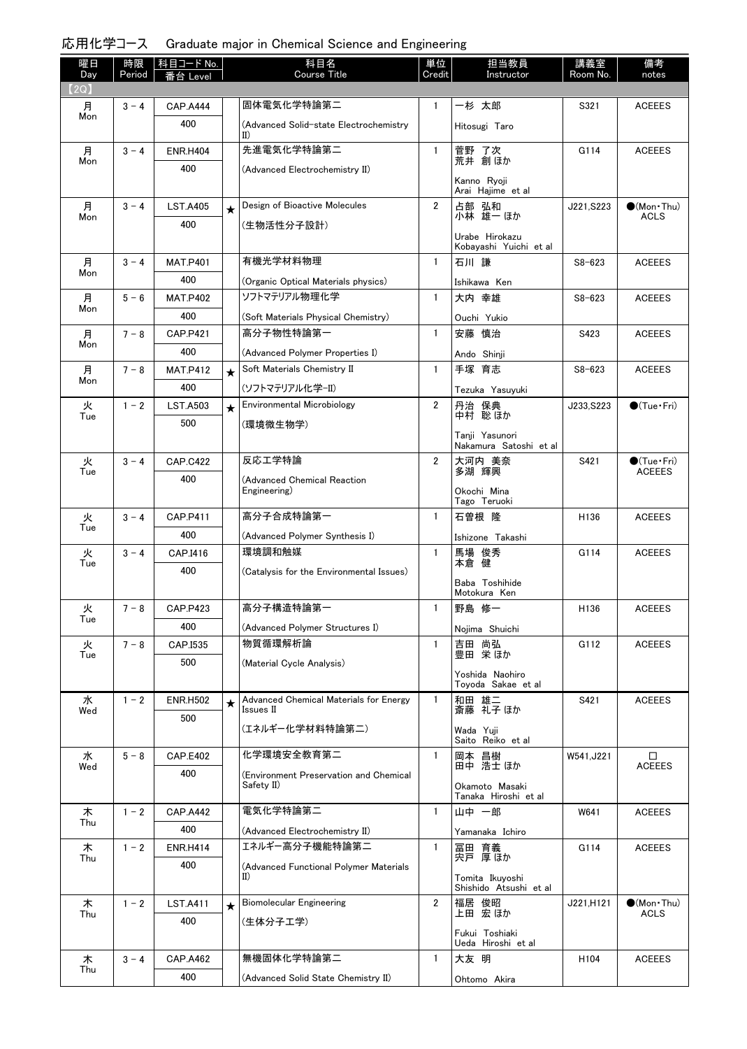| 応用化学コース Graduate major in Chemical Science and Engineering |  |  |  |  |  |
|------------------------------------------------------------|--|--|--|--|--|
|------------------------------------------------------------|--|--|--|--|--|

| 曜日<br>Day | 時限<br>Period | │科目コード No. │<br>番台 Level |         | 科目名<br><b>Course Title</b>                                         | 単位<br>Credit   | 担当教員<br>Instructor                        | 講義室<br>Room No.  | 備考<br>notes                          |
|-----------|--------------|--------------------------|---------|--------------------------------------------------------------------|----------------|-------------------------------------------|------------------|--------------------------------------|
| (2Q)      |              |                          |         |                                                                    |                |                                           |                  |                                      |
| 月         | $3 - 4$      | <b>CAP.A444</b>          |         | 固体電気化学特論第二                                                         | $\mathbf{1}$   | 一杉 太郎                                     | S321             | <b>ACEEES</b>                        |
| Mon       |              | 400                      |         | (Advanced Solid-state Electrochemistry<br>$\mathbf{I}(\mathbf{I})$ |                | Hitosugi Taro                             |                  |                                      |
| 月<br>Mon  | $3 - 4$      | <b>ENR.H404</b>          |         | 先進電気化学特論第二                                                         | $\mathbf{1}$   | 菅野 了次<br>荒井 創ほか                           | G114             | <b>ACEEES</b>                        |
|           |              | 400                      |         | (Advanced Electrochemistry II)                                     |                |                                           |                  |                                      |
|           |              |                          |         |                                                                    |                | Kanno Ryoji<br>Arai Hajime et al          |                  |                                      |
| 月         | $3 - 4$      | <b>LST.A405</b>          | $\star$ | Design of Bioactive Molecules                                      | $\overline{2}$ | 占部 弘和<br>小林 雄一 ほか                         | J221, S223       | $\bullet$ (Mon Thu)<br>ACLS          |
| Mon       |              | 400                      |         | (生物活性分子設計)                                                         |                |                                           |                  |                                      |
|           |              |                          |         |                                                                    |                | Urabe Hirokazu<br>Kobayashi Yuichi et al  |                  |                                      |
| 月         | $3 - 4$      | <b>MAT.P401</b>          |         | 有機光学材料物理                                                           | 1              | 石川 謙                                      | $S8 - 623$       | <b>ACEEES</b>                        |
| Mon       |              | 400                      |         | (Organic Optical Materials physics)                                |                | Ishikawa Ken                              |                  |                                      |
| 月         | $5 - 6$      | <b>MAT.P402</b>          |         | ソフトマテリアル物理化学                                                       | $\mathbf{1}$   | 大内 幸雄                                     | $S8 - 623$       | <b>ACEEES</b>                        |
| Mon       |              | 400                      |         | (Soft Materials Physical Chemistry)                                |                | Ouchi Yukio                               |                  |                                      |
| 月<br>Mon  | $7 - 8$      | <b>CAP.P421</b>          |         | 高分子物性特論第一                                                          | $\mathbf{1}$   | 安藤 慎治                                     | S423             | <b>ACEEES</b>                        |
|           |              | 400                      |         | (Advanced Polymer Properties I)                                    |                | Ando Shinji                               |                  |                                      |
| 月<br>Mon  | $7 - 8$      | <b>MAT.P412</b>          | $\star$ | Soft Materials Chemistry II                                        | $\mathbf{1}$   | 手塚 育志                                     | $S8 - 623$       | <b>ACEEES</b>                        |
|           |              | 400                      |         | (ソフトマテリアル化学-II)                                                    |                | Tezuka Yasuyuki                           |                  |                                      |
| 火<br>Tue  | $1 - 2$      | <b>LST.A503</b>          | $\star$ | Environmental Microbiology                                         | $\overline{2}$ | 保典<br>丹治<br>中村 聡 ほか                       | J233, S223       | $\bigcirc$ (Tue · Fri)               |
|           |              | 500                      |         | (環境微生物学)                                                           |                | Tanji Yasunori                            |                  |                                      |
|           |              |                          |         |                                                                    |                | Nakamura Satoshi et al                    |                  |                                      |
| 火<br>Tue  | $3 - 4$      | <b>CAP.C422</b>          |         | 反応工学特論                                                             | $\overline{2}$ | 大河内 美奈<br>多湖 輝興                           | S421             | $\bullet$ (Tue•Fri)<br><b>ACEEES</b> |
|           |              | 400                      |         | (Advanced Chemical Reaction                                        |                |                                           |                  |                                      |
|           |              |                          |         | Engineering)                                                       |                | Okochi Mina<br>Tago Teruoki               |                  |                                      |
| 火         | $3 - 4$      | <b>CAP.P411</b>          |         | 高分子合成特論第一                                                          | $\mathbf{1}$   | 石曽根 隆                                     | H <sub>136</sub> | <b>ACEEES</b>                        |
| Tue       |              | 400                      |         | (Advanced Polymer Synthesis I)                                     |                | Ishizone Takashi                          |                  |                                      |
| 火         | $3 - 4$      | CAP.I416                 |         | 環境調和触媒                                                             | $\mathbf{1}$   | 馬場 俊秀<br>本倉 健                             | G114             | <b>ACEEES</b>                        |
| Tue       |              | 400                      |         | (Catalysis for the Environmental Issues)                           |                |                                           |                  |                                      |
|           |              |                          |         |                                                                    |                | Baba Toshihide<br>Motokura Ken            |                  |                                      |
| 火         | $7 - 8$      | <b>CAP.P423</b>          |         | 高分子構造特論第一                                                          | $\mathbf{1}$   | 野島 修一                                     | H136             | ACEEES                               |
| Tue       |              | 400                      |         | (Advanced Polymer Structures I)                                    |                | Nojima Shuichi                            |                  |                                      |
| 火         | $7 - 8$      | CAP.I535                 |         | 物質循環解析論                                                            | $\mathbf{1}$   | 吉田 尚弘<br>豊田 栄ほか                           | G112             | <b>ACEEES</b>                        |
| Tue       |              | 500                      |         | (Material Cycle Analysis)                                          |                |                                           |                  |                                      |
|           |              |                          |         |                                                                    |                | Yoshida Naohiro<br>Toyoda Sakae et al     |                  |                                      |
| 水<br>Wed  | $1 - 2$      | <b>ENR.H502</b>          | $\star$ | Advanced Chemical Materials for Energy<br>Issues II                | $\mathbf{1}$   | 和田 雄二<br>斎藤 礼子 ほか                         | S421             | <b>ACEEES</b>                        |
|           |              | 500                      |         | (エネルギー化学材料特論第二)                                                    |                | Wada Yuji<br>Saito Reiko et al            |                  |                                      |
| 水         | $5 - 8$      | <b>CAP.E402</b>          |         | 化学環境安全教育第二                                                         | $\mathbf{1}$   | 岡本 昌樹<br>田中 浩士ほか                          | W541,J221        | □                                    |
| Wed       |              | 400                      |         | (Environment Preservation and Chemical                             |                |                                           |                  | <b>ACEEES</b>                        |
|           |              |                          |         | Safety II)                                                         |                | Okamoto Masaki<br>Tanaka Hiroshi et al    |                  |                                      |
| 木         | $1 - 2$      | <b>CAP.A442</b>          |         | 電気化学特論第二                                                           | $\mathbf{1}$   | 山中 一郎                                     | W641             | <b>ACEEES</b>                        |
| Thu       |              | 400                      |         | (Advanced Electrochemistry II)                                     |                | Yamanaka Ichiro                           |                  |                                      |
| 木         | $1 - 2$      | <b>ENR.H414</b>          |         | エネルギー高分子機能特論第二                                                     | $\mathbf{1}$   | 冨田 育義<br>宍戸 厚ほか                           | G114             | <b>ACEEES</b>                        |
| Thu       |              | 400                      |         | (Advanced Functional Polymer Materials                             |                |                                           |                  |                                      |
|           |              |                          |         | II)                                                                |                | Tomita Ikuyoshi<br>Shishido Atsushi et al |                  |                                      |
| 木         | $1 - 2$      | <b>LST.A411</b>          | $\star$ | <b>Biomolecular Engineering</b>                                    | $\overline{2}$ | 福居 俊昭                                     | J221,H121        | $\bullet$ (Mon Thu)                  |
| Thu       |              | 400                      |         | (生体分子工学)                                                           |                | 上田 宏 ほか                                   |                  | ACLS                                 |
|           |              |                          |         |                                                                    |                | Fukui Toshiaki<br>Ueda Hiroshi et al      |                  |                                      |
| 木         | $3 - 4$      | <b>CAP.A462</b>          |         | 無機固体化学特論第二                                                         | 1              | 大友 明                                      | H <sub>104</sub> | <b>ACEEES</b>                        |
| Thu       |              | 400                      |         | (Advanced Solid State Chemistry II)                                |                | Ohtomo Akira                              |                  |                                      |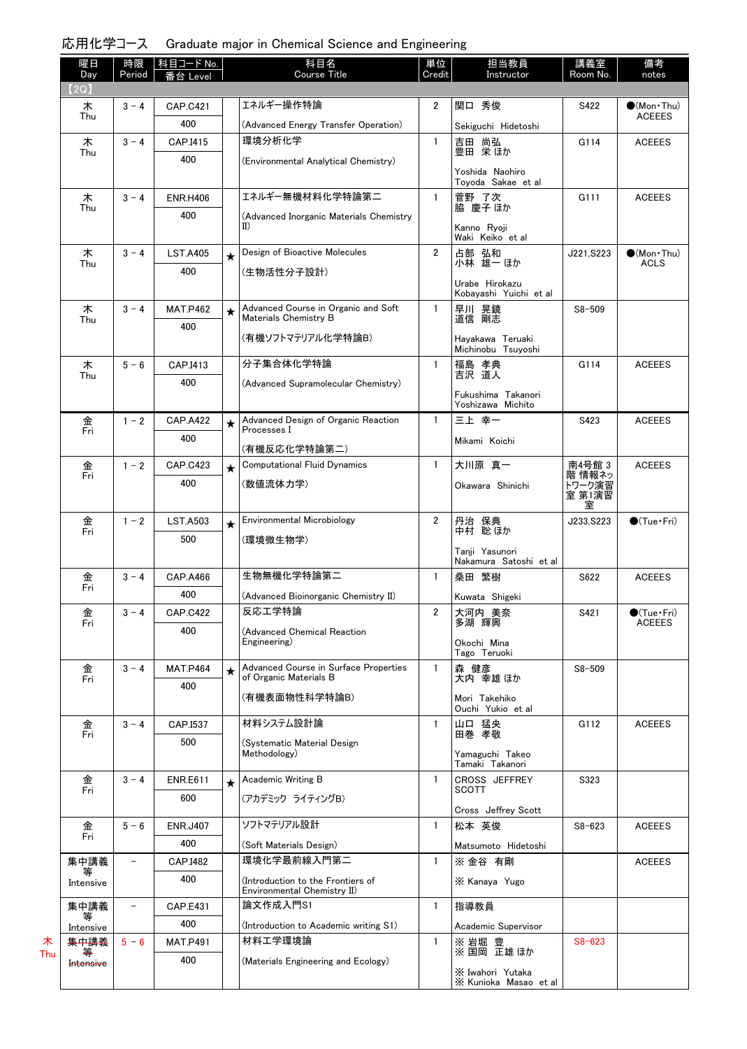| 曜日<br>Day      | 時限<br>Period      | │科目コード No. │           |         | 科目名<br>Course Title                                              | 単位<br>Credit   | 担当教員<br>Instructor                        | 講義室<br>Room No.  | 備考<br>notes                     |
|----------------|-------------------|------------------------|---------|------------------------------------------------------------------|----------------|-------------------------------------------|------------------|---------------------------------|
| (2Q)           |                   | Level                  |         |                                                                  |                |                                           |                  |                                 |
| 木              | $3 - 4$           | <b>CAP.C421</b>        |         | エネルギー操作特論                                                        | $\overline{2}$ | 関口 秀俊                                     | S422             | $(Mon\cdot Thu)$                |
| Thu            |                   | 400                    |         | (Advanced Energy Transfer Operation)                             |                | Sekiguchi Hidetoshi                       |                  | <b>ACEEES</b>                   |
| 木              | $3 - 4$           | CAP.I415               |         | 環境分析化学                                                           | $\mathbf{1}$   | 吉田 尚弘<br>豊田 栄ほか                           | G114             | <b>ACEEES</b>                   |
| Thu            |                   | 400                    |         | (Environmental Analytical Chemistry)                             |                |                                           |                  |                                 |
|                |                   |                        |         |                                                                  |                | Yoshida Naohiro<br>Toyoda Sakae et al     |                  |                                 |
| 木<br>Thu       | $3 - 4$           | <b>ENR.H406</b>        |         | エネルギー無機材料化学特論第二                                                  | $\mathbf{1}$   | 菅野 了次<br>脇 慶子 ほか                          | G111             | <b>ACEEES</b>                   |
|                |                   | 400                    |         | (Advanced Inorganic Materials Chemistry<br>II)                   |                |                                           |                  |                                 |
|                |                   |                        |         |                                                                  |                | Kanno Ryoji<br>Waki Keiko et al           |                  |                                 |
| 木<br>Thu       | $3 - 4$           | <b>LST.A405</b>        | $\star$ | Design of Bioactive Molecules                                    | $\overline{2}$ | 占部 弘和<br>小林 雄一 ほか                         | J221, S223       | $(Mon\cdot Thu)$<br><b>ACLS</b> |
|                |                   | 400                    |         | (生物活性分子設計)                                                       |                | Urabe Hirokazu                            |                  |                                 |
|                |                   |                        |         |                                                                  |                | Kobayashi Yuichi et al                    |                  |                                 |
| 木<br>Thu       | $3 - 4$           | <b>MAT.P462</b>        | $\star$ | Advanced Course in Organic and Soft<br>Materials Chemistry B     | $\mathbf{1}$   | 早川 晃鏡<br>道信 剛志                            | $S8 - 509$       |                                 |
|                |                   | 400                    |         | (有機ソフトマテリアル化学特論B)                                                |                | Hayakawa Teruaki                          |                  |                                 |
|                |                   |                        |         |                                                                  |                | Michinobu Tsuyoshi                        |                  |                                 |
| 木<br>Thu       | $5 - 6$           | CAP.I413               |         | 分子集合体化学特論                                                        | $\mathbf{1}$   | 福島 孝典<br>吉沢 道人                            | G114             | <b>ACEEES</b>                   |
|                |                   | 400                    |         | (Advanced Supramolecular Chemistry)                              |                | Fukushima Takanori                        |                  |                                 |
|                |                   |                        |         |                                                                  |                | Yoshizawa Michito                         |                  |                                 |
| 金<br>Fri       | $1 - 2$           | <b>CAP.A422</b>        | $\star$ | Advanced Design of Organic Reaction<br>Processes I               | $\mathbf{1}$   | 三上 幸一                                     | S423             | <b>ACEEES</b>                   |
|                |                   | 400                    |         | (有機反応化学特論第二)                                                     |                | Mikami Koichi                             |                  |                                 |
| 金<br>Fri       | $1 - 2$           | <b>CAP.C423</b>        | $\star$ | <b>Computational Fluid Dynamics</b>                              | $\mathbf{1}$   | 大川原 真一                                    | 南4号館 3           | <b>ACEEES</b>                   |
|                |                   | 400                    |         | (数値流体力学)                                                         |                | Okawara Shinichi                          | 階 情報ネッ<br>トワーク演習 |                                 |
|                |                   |                        |         |                                                                  |                |                                           | 室第1演習<br>室       |                                 |
| 金<br>Fri       | $1 - 2$           | <b>LST.A503</b>        | $\star$ | Environmental Microbiology                                       | 2              | 丹治 保典<br>中村 聡ほか                           | J233, S223       | $\bigcirc$ (Tue · Fri)          |
|                |                   | 500                    |         | (環境微生物学)                                                         |                |                                           |                  |                                 |
|                |                   |                        |         |                                                                  |                | Tanji Yasunori<br>Nakamura Satoshi et al  |                  |                                 |
| 金<br>Fri       | $3 - 4$           | CAP.A466               |         | 生物無機化学特論第二                                                       | $\mathbf{1}$   | 桑田 繁樹                                     | S622             | <b>ACEEES</b>                   |
|                |                   | 400                    |         | (Advanced Bioinorganic Chemistry II)                             |                | Kuwata Shigeki                            |                  |                                 |
| 金<br>Fri       | $3 - 4$           | <b>CAP.C422</b>        |         | 反応工学特論                                                           | $\mathbf{2}$   | 大河内 美奈<br>多湖 輝興                           | S421             | $(Tue-Fri)$<br><b>ACEEES</b>    |
|                |                   | 400                    |         | (Advanced Chemical Reaction<br>Engineering)                      |                | Okochi Mina                               |                  |                                 |
|                |                   |                        |         |                                                                  |                | Tago Teruoki                              |                  |                                 |
| 金<br>Fri       | $3 - 4$           | <b>MAT.P464</b>        | $\star$ | Advanced Course in Surface Properties<br>of Organic Materials B  | 1              | 森 健彦<br>大内 幸雄 ほか                          | $S8 - 509$       |                                 |
|                |                   | 400                    |         | (有機表面物性科学特論B)                                                    |                | Mori Takehiko                             |                  |                                 |
|                |                   |                        |         |                                                                  |                | Ouchi Yukio et al                         |                  |                                 |
| 金<br>Fri       | $3 - 4$           | CAP.I537               |         | 材料システム設計論                                                        | $\mathbf{1}$   | 山口 猛央<br>田巻 孝敬                            | G112             | <b>ACEEES</b>                   |
|                |                   | 500                    |         | (Systematic Material Design<br>Methodology)                      |                | Yamaguchi Takeo                           |                  |                                 |
|                |                   |                        |         |                                                                  |                | Tamaki Takanori                           |                  |                                 |
| 金<br>Fri       | $3 - 4$           | <b>ENR.E611</b><br>600 | $\star$ | Academic Writing B                                               | $\mathbf{1}$   | CROSS JEFFREY<br>SCOTT                    | S323             |                                 |
|                |                   |                        |         | (アカデミック ライティングB)                                                 |                | Cross Jeffrey Scott                       |                  |                                 |
| 金<br>Fri       | $5 - 6$           | <b>ENR.J407</b>        |         | ソフトマテリアル設計                                                       | $\mathbf{1}$   | 松本 英俊                                     | $S8 - 623$       | <b>ACEEES</b>                   |
|                |                   | 400                    |         | (Soft Materials Design)                                          |                | Matsumoto Hidetoshi                       |                  |                                 |
| 集中講義<br>等      | -                 | CAP.I482               |         | 環境化学最前線入門第二                                                      | $\mathbf{1}$   | ※ 金谷 有剛                                   |                  | <b>ACEEES</b>                   |
| Intensive      |                   | 400                    |         | (Introduction to the Frontiers of<br>Environmental Chemistry II) |                | X Kanaya Yugo                             |                  |                                 |
| 集中講義           | $\qquad \qquad -$ | <b>CAP.E431</b>        |         | 論文作成入門S1                                                         | $\mathbf{1}$   | 指導教員                                      |                  |                                 |
| 等<br>Intensive |                   | 400                    |         | (Introduction to Academic writing S1)                            |                | Academic Supervisor                       |                  |                                 |
| 集中講義           | $5 - 6$           | <b>MAT.P491</b>        |         | 材料工学環境論                                                          | $\mathbf{1}$   | ※ 岩堀 豊<br>※ 国岡 正雄 ほか                      | $S8 - 623$       |                                 |
| Intensive      |                   | 400                    |         | (Materials Engineering and Ecology)                              |                |                                           |                  |                                 |
|                |                   |                        |         |                                                                  |                | X Iwahori Yutaka<br>X Kunioka Masao et al |                  |                                 |

木 Thu